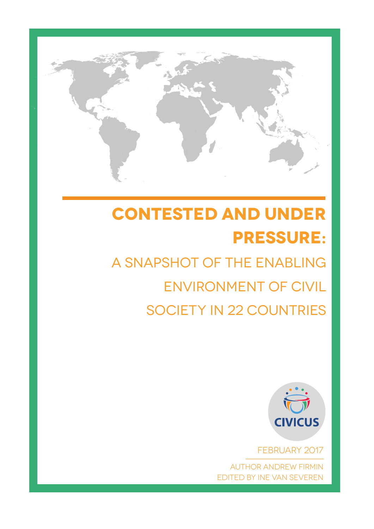

# **CONTESTED AND UNDER pressure:**

# a snapshot of the enabling environment of civil society in 22 countries



February 2017

author Andrew Firmin edited by Ine Van Severen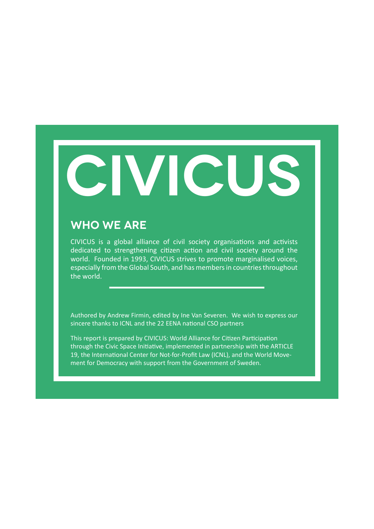# **CIVICUS**

#### **Who We Are**

CIVICUS is a global alliance of civil society organisations and activists dedicated to strengthening citizen action and civil society around the world. Founded in 1993, CIVICUS strives to promote marginalised voices, especially from the Global South, and has members in countries throughout the world.

Authored by Andrew Firmin, edited by Ine Van Severen. We wish to express our sincere thanks to ICNL and the 22 EENA national CSO partners

This report is prepared by CIVICUS: World Alliance for Citizen Participation through the Civic Space Initiative, implemented in partnership with the ARTICLE 19, the International Center for Not-for-Profit Law (ICNL), and the World Movement for Democracy with support from the Government of Sweden.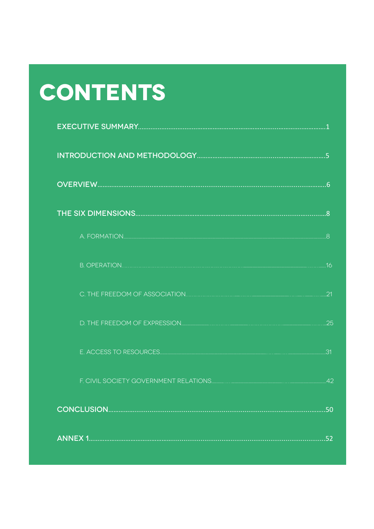# CONTENTS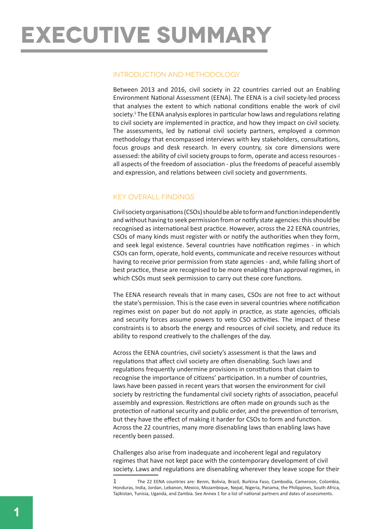# **Executive summary**

#### Introduction and methodology

Between 2013 and 2016, civil society in 22 countries carried out an Enabling Environment National Assessment (EENA). The EENA is a civil society-led process that analyses the extent to which national conditions enable the work of civil society.1 The EENA analysis explores in particular how laws and regulations relating to civil society are implemented in practice, and how they impact on civil society. The assessments, led by national civil society partners, employed a common methodology that encompassed interviews with key stakeholders, consultations, focus groups and desk research. In every country, six core dimensions were assessed: the ability of civil society groups to form, operate and access resources all aspects of the freedom of association - plus the freedoms of peaceful assembly and expression, and relations between civil society and governments.

#### Key overall findings

Civil society organisations (CSOs) should be able to form and function independently and without having to seek permission from or notify state agencies: this should be recognised as international best practice. However, across the 22 EENA countries, CSOs of many kinds must register with or notify the authorities when they form, and seek legal existence. Several countries have notification regimes - in which CSOs can form, operate, hold events, communicate and receive resources without having to receive prior permission from state agencies - and, while falling short of best practice, these are recognised to be more enabling than approval regimes, in which CSOs must seek permission to carry out these core functions.

The EENA research reveals that in many cases, CSOs are not free to act without the state's permission. This is the case even in several countries where notification regimes exist on paper but do not apply in practice, as state agencies, officials and security forces assume powers to veto CSO activities. The impact of these constraints is to absorb the energy and resources of civil society, and reduce its ability to respond creatively to the challenges of the day.

Across the EENA countries, civil society's assessment is that the laws and regulations that affect civil society are often disenabling. Such laws and regulations frequently undermine provisions in constitutions that claim to recognise the importance of citizens' participation. In a number of countries, laws have been passed in recent years that worsen the environment for civil society by restricting the fundamental civil society rights of association, peaceful assembly and expression. Restrictions are often made on grounds such as the protection of national security and public order, and the prevention of terrorism, but they have the effect of making it harder for CSOs to form and function. Across the 22 countries, many more disenabling laws than enabling laws have recently been passed.

Challenges also arise from inadequate and incoherent legal and regulatory regimes that have not kept pace with the contemporary development of civil society. Laws and regulations are disenabling wherever they leave scope for their

<sup>1</sup> The 22 EENA countries are: Benin, Bolivia, Brazil, Burkina Faso, Cambodia, Cameroon, Colombia, Honduras, India, Jordan, Lebanon, Mexico, Mozambique, Nepal, Nigeria, Panama, the Philippines, South Africa, Tajikistan, Tunisia, Uganda, and Zambia. See Annex 1 for a list of national partners and dates of assessments.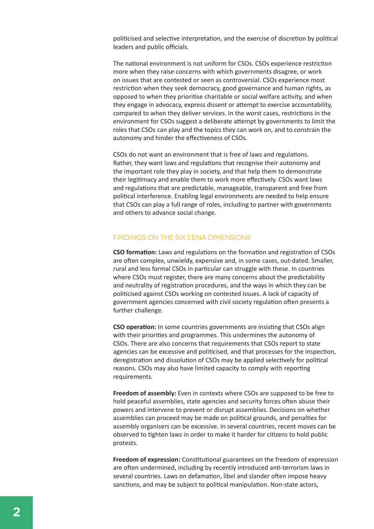politicised and selective interpretation, and the exercise of discretion by political leaders and public officials.

The national environment is not uniform for CSOs. CSOs experience restriction more when they raise concerns with which governments disagree, or work on issues that are contested or seen as controversial. CSOs experience most restriction when they seek democracy, good governance and human rights, as opposed to when they prioritise charitable or social welfare activity, and when they engage in advocacy, express dissent or attempt to exercise accountability, compared to when they deliver services. In the worst cases, restrictions in the environment for CSOs suggest a deliberate attempt by governments to limit the roles that CSOs can play and the topics they can work on, and to constrain the autonomy and hinder the effectiveness of CSOs.

CSOs do not want an environment that is free of laws and regulations. Rather, they want laws and regulations that recognise their autonomy and the important role they play in society, and that help them to demonstrate their legitimacy and enable them to work more effectively. CSOs want laws and regulations that are predictable, manageable, transparent and free from political interference. Enabling legal environments are needed to help ensure that CSOs can play a full range of roles, including to partner with governments and others to advance social change.

#### Findings on the six EENA dimensions

**CSO formation:** Laws and regulations on the formation and registration of CSOs are often complex, unwieldy, expensive and, in some cases, out-dated. Smaller, rural and less formal CSOs in particular can struggle with these. In countries where CSOs must register, there are many concerns about the predictability and neutrality of registration procedures, and the ways in which they can be politicised against CSOs working on contested issues. A lack of capacity of government agencies concerned with civil society regulation often presents a further challenge.

**CSO operation:** In some countries governments are insisting that CSOs align with their priorities and programmes. This undermines the autonomy of CSOs. There are also concerns that requirements that CSOs report to state agencies can be excessive and politicised, and that processes for the inspection, deregistration and dissolution of CSOs may be applied selectively for political reasons. CSOs may also have limited capacity to comply with reporting requirements.

**Freedom of assembly:** Even in contexts where CSOs are supposed to be free to hold peaceful assemblies, state agencies and security forces often abuse their powers and intervene to prevent or disrupt assemblies. Decisions on whether assemblies can proceed may be made on political grounds, and penalties for assembly organisers can be excessive. In several countries, recent moves can be observed to tighten laws in order to make it harder for citizens to hold public protests.

**Freedom of expression:** Constitutional guarantees on the freedom of expression are often undermined, including by recently introduced anti-terrorism laws in several countries. Laws on defamation, libel and slander often impose heavy sanctions, and may be subject to political manipulation. Non-state actors,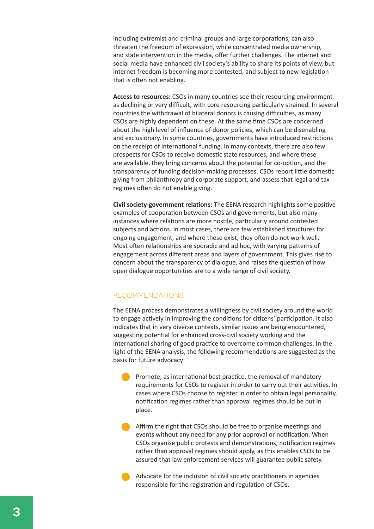including extremist and criminal groups and large corporations, can also threaten the freedom of expression, while concentrated media ownership, and state intervention in the media, offer further challenges. The internet and social media have enhanced civil society's ability to share its points of view, but internet freedom is becoming more contested, and subject to new legislation that is often not enabling.

**Access to resources:** CSOs in many countries see their resourcing environment as declining or very difficult, with core resourcing particularly strained. In several countries the withdrawal of bilateral donors is causing difficulties, as many CSOs are highly dependent on these. At the same time CSOs are concerned about the high level of influence of donor policies, which can be disenabling and exclusionary. In some countries, governments have introduced restrictions on the receipt of international funding. In many contexts, there are also few prospects for CSOs to receive domestic state resources, and where these are available, they bring concerns about the potential for co-option, and the transparency of funding decision-making processes. CSOs report little domestic giving from philanthropy and corporate support, and assess that legal and tax regimes often do not enable giving.

**Civil society-government relations:** The EENA research highlights some positive examples of cooperation between CSOs and governments, but also many instances where relations are more hostile, particularly around contested subjects and actions. In most cases, there are few established structures for ongoing engagement, and where these exist, they often do not work well. Most often relationships are sporadic and ad hoc, with varying patterns of engagement across different areas and layers of government. This gives rise to concern about the transparency of dialogue, and raises the question of how open dialogue opportunities are to a wide range of civil society.

#### **RECOMMENDATIONS**

The EENA process demonstrates a willingness by civil society around the world to engage actively in improving the conditions for citizens' participation. It also indicates that in very diverse contexts, similar issues are being encountered, suggesting potential for enhanced cross-civil society working and the international sharing of good practice to overcome common challenges. In the light of the EENA analysis, the following recommendations are suggested as the basis for future advocacy:

Promote, as international best practice, the removal of mandatory requirements for CSOs to register in order to carry out their activities. In cases where CSOs choose to register in order to obtain legal personality, notification regimes rather than approval regimes should be put in place.

Affirm the right that CSOs should be free to organise meetings and events without any need for any prior approval or notification. When CSOs organise public protests and demonstrations, notification regimes rather than approval regimes should apply, as this enables CSOs to be assured that law enforcement services will guarantee public safety.

Advocate for the inclusion of civil society practitioners in agencies responsible for the registration and regulation of CSOs.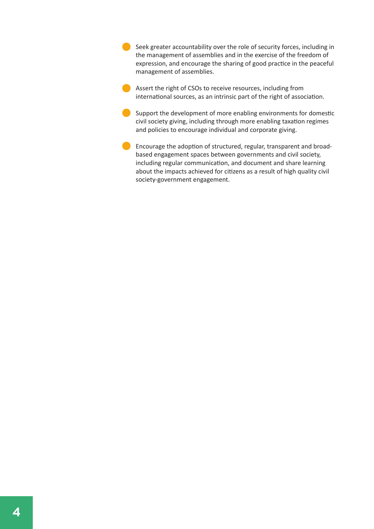Seek greater accountability over the role of security forces, including in the management of assemblies and in the exercise of the freedom of expression, and encourage the sharing of good practice in the peaceful management of assemblies.

Assert the right of CSOs to receive resources, including from international sources, as an intrinsic part of the right of association.

Support the development of more enabling environments for domestic civil society giving, including through more enabling taxation regimes and policies to encourage individual and corporate giving.

Encourage the adoption of structured, regular, transparent and broadbased engagement spaces between governments and civil society, including regular communication, and document and share learning about the impacts achieved for citizens as a result of high quality civil society-government engagement.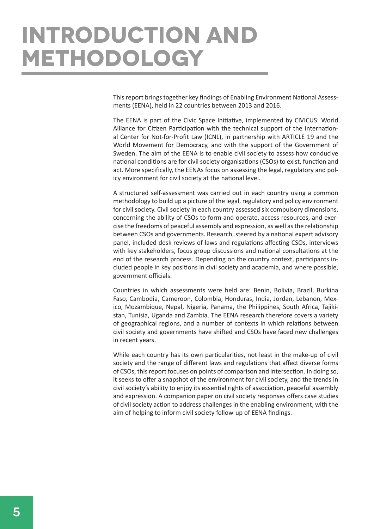# **Introduction and methodology**

This report brings together key findings of Enabling Environment National Assessments (EENA), held in 22 countries between 2013 and 2016.

The EENA is part of the Civic Space Initiative, implemented by CIVICUS: World Alliance for Citizen Participation with the technical support of the International Center for Not-for-Profit Law (ICNL), in partnership with ARTICLE 19 and the World Movement for Democracy, and with the support of the Government of Sweden. The aim of the EENA is to enable civil society to assess how conducive national conditions are for civil society organisations (CSOs) to exist, function and act. More specifically, the EENAs focus on assessing the legal, regulatory and policy environment for civil society at the national level.

A structured self-assessment was carried out in each country using a common methodology to build up a picture of the legal, regulatory and policy environment for civil society. Civil society in each country assessed six compulsory dimensions, concerning the ability of CSOs to form and operate, access resources, and exercise the freedoms of peaceful assembly and expression, as well as the relationship between CSOs and governments. Research, steered by a national expert advisory panel, included desk reviews of laws and regulations affecting CSOs, interviews with key stakeholders, focus group discussions and national consultations at the end of the research process. Depending on the country context, participants included people in key positions in civil society and academia, and where possible, government officials.

Countries in which assessments were held are: Benin, Bolivia, Brazil, Burkina Faso, Cambodia, Cameroon, Colombia, Honduras, India, Jordan, Lebanon, Mexico, Mozambique, Nepal, Nigeria, Panama, the Philippines, South Africa, Tajikistan, Tunisia, Uganda and Zambia. The EENA research therefore covers a variety of geographical regions, and a number of contexts in which relations between civil society and governments have shifted and CSOs have faced new challenges in recent years.

While each country has its own particularities, not least in the make-up of civil society and the range of different laws and regulations that affect diverse forms of CSOs, this report focuses on points of comparison and intersection. In doing so, it seeks to offer a snapshot of the environment for civil society, and the trends in civil society's ability to enjoy its essential rights of association, peaceful assembly and expression. A companion paper on civil society responses offers case studies of civil society action to address challenges in the enabling environment, with the aim of helping to inform civil society follow-up of EENA findings.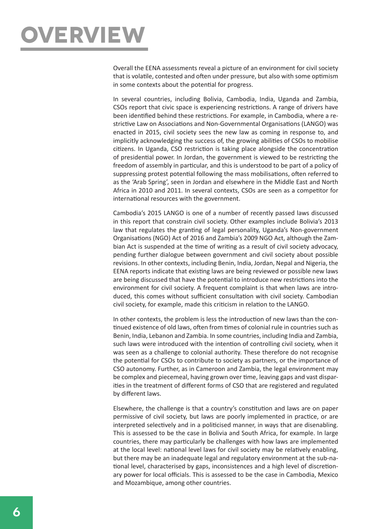

Overall the EENA assessments reveal a picture of an environment for civil society that is volatile, contested and often under pressure, but also with some optimism in some contexts about the potential for progress.

In several countries, including Bolivia, Cambodia, India, Uganda and Zambia, CSOs report that civic space is experiencing restrictions. A range of drivers have been identified behind these restrictions. For example, in Cambodia, where a restrictive Law on Associations and Non-Governmental Organisations (LANGO) was enacted in 2015, civil society sees the new law as coming in response to, and implicitly acknowledging the success of, the growing abilities of CSOs to mobilise citizens. In Uganda, CSO restriction is taking place alongside the concentration of presidential power. In Jordan, the government is viewed to be restricting the freedom of assembly in particular, and this is understood to be part of a policy of suppressing protest potential following the mass mobilisations, often referred to as the 'Arab Spring', seen in Jordan and elsewhere in the Middle East and North Africa in 2010 and 2011. In several contexts, CSOs are seen as a competitor for international resources with the government.

Cambodia's 2015 LANGO is one of a number of recently passed laws discussed in this report that constrain civil society. Other examples include Bolivia's 2013 law that regulates the granting of legal personality, Uganda's Non-government Organisations (NGO) Act of 2016 and Zambia's 2009 NGO Act, although the Zambian Act is suspended at the time of writing as a result of civil society advocacy, pending further dialogue between government and civil society about possible revisions. In other contexts, including Benin, India, Jordan, Nepal and Nigeria, the EENA reports indicate that existing laws are being reviewed or possible new laws are being discussed that have the potential to introduce new restrictions into the environment for civil society. A frequent complaint is that when laws are introduced, this comes without sufficient consultation with civil society. Cambodian civil society, for example, made this criticism in relation to the LANGO.

In other contexts, the problem is less the introduction of new laws than the continued existence of old laws, often from times of colonial rule in countries such as Benin, India, Lebanon and Zambia. In some countries, including India and Zambia, such laws were introduced with the intention of controlling civil society, when it was seen as a challenge to colonial authority. These therefore do not recognise the potential for CSOs to contribute to society as partners, or the importance of CSO autonomy. Further, as in Cameroon and Zambia, the legal environment may be complex and piecemeal, having grown over time, leaving gaps and vast disparities in the treatment of different forms of CSO that are registered and regulated by different laws.

Elsewhere, the challenge is that a country's constitution and laws are on paper permissive of civil society, but laws are poorly implemented in practice, or are interpreted selectively and in a politicised manner, in ways that are disenabling. This is assessed to be the case in Bolivia and South Africa, for example. In large countries, there may particularly be challenges with how laws are implemented at the local level: national level laws for civil society may be relatively enabling, but there may be an inadequate legal and regulatory environment at the sub-national level, characterised by gaps, inconsistences and a high level of discretionary power for local officials. This is assessed to be the case in Cambodia, Mexico and Mozambique, among other countries.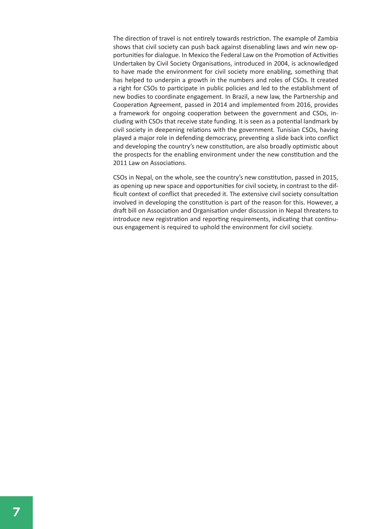The direction of travel is not entirely towards restriction. The example of Zambia shows that civil society can push back against disenabling laws and win new opportunities for dialogue. In Mexico the Federal Law on the Promotion of Activities Undertaken by Civil Society Organisations, introduced in 2004, is acknowledged to have made the environment for civil society more enabling, something that has helped to underpin a growth in the numbers and roles of CSOs. It created a right for CSOs to participate in public policies and led to the establishment of new bodies to coordinate engagement. In Brazil, a new law, the Partnership and Cooperation Agreement, passed in 2014 and implemented from 2016, provides a framework for ongoing cooperation between the government and CSOs, including with CSOs that receive state funding. It is seen as a potential landmark by civil society in deepening relations with the government. Tunisian CSOs, having played a major role in defending democracy, preventing a slide back into conflict and developing the country's new constitution, are also broadly optimistic about the prospects for the enabling environment under the new constitution and the 2011 Law on Associations.

CSOs in Nepal, on the whole, see the country's new constitution, passed in 2015, as opening up new space and opportunities for civil society, in contrast to the difficult context of conflict that preceded it. The extensive civil society consultation involved in developing the constitution is part of the reason for this. However, a draft bill on Association and Organisation under discussion in Nepal threatens to introduce new registration and reporting requirements, indicating that continuous engagement is required to uphold the environment for civil society.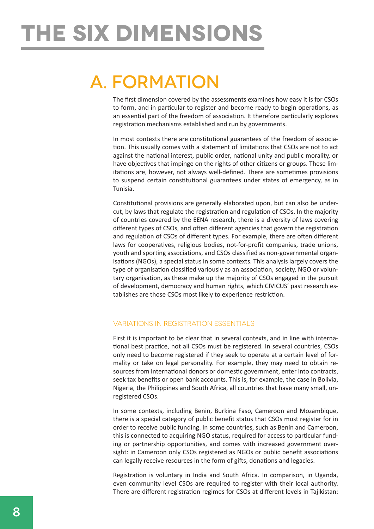# **The six dimensions**

### a. Formation

The first dimension covered by the assessments examines how easy it is for CSOs to form, and in particular to register and become ready to begin operations, as an essential part of the freedom of association. It therefore particularly explores registration mechanisms established and run by governments.

In most contexts there are constitutional guarantees of the freedom of association. This usually comes with a statement of limitations that CSOs are not to act against the national interest, public order, national unity and public morality, or have objectives that impinge on the rights of other citizens or groups. These limitations are, however, not always well-defined. There are sometimes provisions to suspend certain constitutional guarantees under states of emergency, as in Tunisia.

Constitutional provisions are generally elaborated upon, but can also be undercut, by laws that regulate the registration and regulation of CSOs. In the majority of countries covered by the EENA research, there is a diversity of laws covering different types of CSOs, and often different agencies that govern the registration and regulation of CSOs of different types. For example, there are often different laws for cooperatives, religious bodies, not-for-profit companies, trade unions, youth and sporting associations, and CSOs classified as non-governmental organisations (NGOs), a special status in some contexts. This analysis largely covers the type of organisation classified variously as an association, society, NGO or voluntary organisation, as these make up the majority of CSOs engaged in the pursuit of development, democracy and human rights, which CIVICUS' past research establishes are those CSOs most likely to experience restriction.

#### Variations in registration essentials

First it is important to be clear that in several contexts, and in line with international best practice, not all CSOs must be registered. In several countries, CSOs only need to become registered if they seek to operate at a certain level of formality or take on legal personality. For example, they may need to obtain resources from international donors or domestic government, enter into contracts, seek tax benefits or open bank accounts. This is, for example, the case in Bolivia, Nigeria, the Philippines and South Africa, all countries that have many small, unregistered CSOs.

In some contexts, including Benin, Burkina Faso, Cameroon and Mozambique, there is a special category of public benefit status that CSOs must register for in order to receive public funding. In some countries, such as Benin and Cameroon, this is connected to acquiring NGO status, required for access to particular funding or partnership opportunities, and comes with increased government oversight: in Cameroon only CSOs registered as NGOs or public benefit associations can legally receive resources in the form of gifts, donations and legacies.

Registration is voluntary in India and South Africa. In comparison, in Uganda, even community level CSOs are required to register with their local authority. There are different registration regimes for CSOs at different levels in Tajikistan: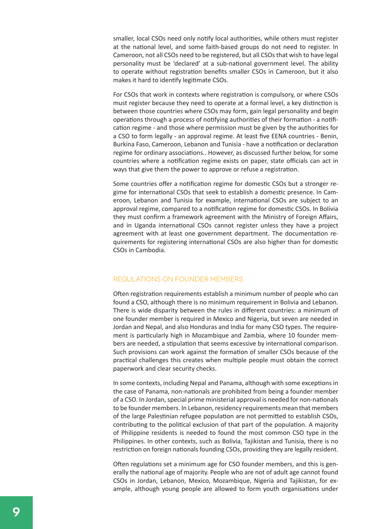smaller, local CSOs need only notify local authorities, while others must register at the national level, and some faith-based groups do not need to register. In Cameroon, not all CSOs need to be registered, but all CSOs that wish to have legal personality must be 'declared' at a sub-national government level. The ability to operate without registration benefits smaller CSOs in Cameroon, but it also makes it hard to identify legitimate CSOs.

For CSOs that work in contexts where registration is compulsory, or where CSOs must register because they need to operate at a formal level, a key distinction is between those countries where CSOs may form, gain legal personality and begin operations through a process of notifying authorities of their formation - a notification regime - and those where permission must be given by the authorities for a CSO to form legally - an approval regime. At least five EENA countries - Benin, Burkina Faso, Cameroon, Lebanon and Tunisia - have a notification or declaration regime for ordinary associations.. However, as discussed further below, for some countries where a notification regime exists on paper, state officials can act in ways that give them the power to approve or refuse a registration.

Some countries offer a notification regime for domestic CSOs but a stronger regime for international CSOs that seek to establish a domestic presence. In Cameroon, Lebanon and Tunisia for example, international CSOs are subject to an approval regime, compared to a notification regime for domestic CSOs. In Bolivia they must confirm a framework agreement with the Ministry of Foreign Affairs, and in Uganda international CSOs cannot register unless they have a project agreement with at least one government department. The documentation requirements for registering international CSOs are also higher than for domestic CSOs in Cambodia.

#### Regulations on founder members

Often registration requirements establish a minimum number of people who can found a CSO, although there is no minimum requirement in Bolivia and Lebanon. There is wide disparity between the rules in different countries: a minimum of one founder member is required in Mexico and Nigeria, but seven are needed in Jordan and Nepal, and also Honduras and India for many CSO types. The requirement is particularly high in Mozambique and Zambia, where 10 founder members are needed, a stipulation that seems excessive by international comparison. Such provisions can work against the formation of smaller CSOs because of the practical challenges this creates when multiple people must obtain the correct paperwork and clear security checks.

In some contexts, including Nepal and Panama, although with some exceptions in the case of Panama, non-nationals are prohibited from being a founder member of a CSO. In Jordan, special prime ministerial approval is needed for non-nationals to be founder members. In Lebanon, residency requirements mean that members of the large Palestinian refugee population are not permitted to establish CSOs, contributing to the political exclusion of that part of the population. A majority of Philippine residents is needed to found the most common CSO type in the Philippines. In other contexts, such as Bolivia, Tajikistan and Tunisia, there is no restriction on foreign nationals founding CSOs, providing they are legally resident.

Often regulations set a minimum age for CSO founder members, and this is generally the national age of majority. People who are not of adult age cannot found CSOs in Jordan, Lebanon, Mexico, Mozambique, Nigeria and Tajikistan, for example, although young people are allowed to form youth organisations under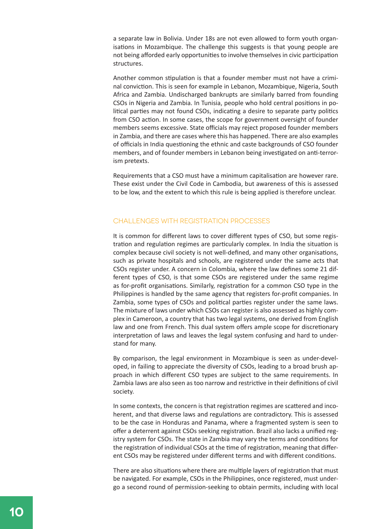a separate law in Bolivia. Under 18s are not even allowed to form youth organisations in Mozambique. The challenge this suggests is that young people are not being afforded early opportunities to involve themselves in civic participation structures.

Another common stipulation is that a founder member must not have a criminal conviction. This is seen for example in Lebanon, Mozambique, Nigeria, South Africa and Zambia. Undischarged bankrupts are similarly barred from founding CSOs in Nigeria and Zambia. In Tunisia, people who hold central positions in political parties may not found CSOs, indicating a desire to separate party politics from CSO action. In some cases, the scope for government oversight of founder members seems excessive. State officials may reject proposed founder members in Zambia, and there are cases where this has happened. There are also examples of officials in India questioning the ethnic and caste backgrounds of CSO founder members, and of founder members in Lebanon being investigated on anti-terrorism pretexts.

Requirements that a CSO must have a minimum capitalisation are however rare. These exist under the Civil Code in Cambodia, but awareness of this is assessed to be low, and the extent to which this rule is being applied is therefore unclear.

#### Challenges with registration processes

It is common for different laws to cover different types of CSO, but some registration and regulation regimes are particularly complex. In India the situation is complex because civil society is not well-defined, and many other organisations, such as private hospitals and schools, are registered under the same acts that CSOs register under. A concern in Colombia, where the law defines some 21 different types of CSO, is that some CSOs are registered under the same regime as for-profit organisations. Similarly, registration for a common CSO type in the Philippines is handled by the same agency that registers for-profit companies. In Zambia, some types of CSOs and political parties register under the same laws. The mixture of laws under which CSOs can register is also assessed as highly complex in Cameroon, a country that has two legal systems, one derived from English law and one from French. This dual system offers ample scope for discretionary interpretation of laws and leaves the legal system confusing and hard to understand for many.

By comparison, the legal environment in Mozambique is seen as under-developed, in failing to appreciate the diversity of CSOs, leading to a broad brush approach in which different CSO types are subject to the same requirements. In Zambia laws are also seen as too narrow and restrictive in their definitions of civil society.

In some contexts, the concern is that registration regimes are scattered and incoherent, and that diverse laws and regulations are contradictory. This is assessed to be the case in Honduras and Panama, where a fragmented system is seen to offer a deterrent against CSOs seeking registration. Brazil also lacks a unified registry system for CSOs. The state in Zambia may vary the terms and conditions for the registration of individual CSOs at the time of registration, meaning that different CSOs may be registered under different terms and with different conditions.

There are also situations where there are multiple layers of registration that must be navigated. For example, CSOs in the Philippines, once registered, must undergo a second round of permission-seeking to obtain permits, including with local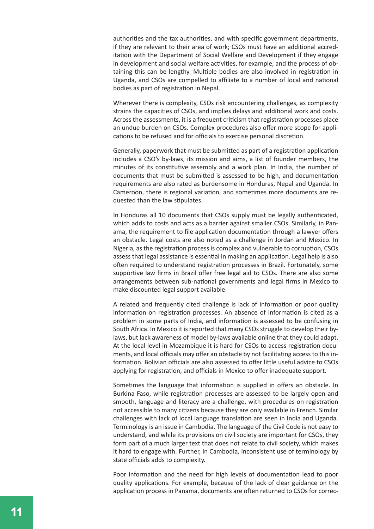authorities and the tax authorities, and with specific government departments, if they are relevant to their area of work; CSOs must have an additional accreditation with the Department of Social Welfare and Development if they engage in development and social welfare activities, for example, and the process of obtaining this can be lengthy. Multiple bodies are also involved in registration in Uganda, and CSOs are compelled to affiliate to a number of local and national bodies as part of registration in Nepal.

Wherever there is complexity, CSOs risk encountering challenges, as complexity strains the capacities of CSOs, and implies delays and additional work and costs. Across the assessments, it is a frequent criticism that registration processes place an undue burden on CSOs. Complex procedures also offer more scope for applications to be refused and for officials to exercise personal discretion.

Generally, paperwork that must be submitted as part of a registration application includes a CSO's by-laws, its mission and aims, a list of founder members, the minutes of its constitutive assembly and a work plan. In India, the number of documents that must be submitted is assessed to be high, and documentation requirements are also rated as burdensome in Honduras, Nepal and Uganda. In Cameroon, there is regional variation, and sometimes more documents are requested than the law stipulates.

In Honduras all 10 documents that CSOs supply must be legally authenticated, which adds to costs and acts as a barrier against smaller CSOs. Similarly, in Panama, the requirement to file application documentation through a lawyer offers an obstacle. Legal costs are also noted as a challenge in Jordan and Mexico. In Nigeria, as the registration process is complex and vulnerable to corruption, CSOs assess that legal assistance is essential in making an application. Legal help is also often required to understand registration processes in Brazil. Fortunately, some supportive law firms in Brazil offer free legal aid to CSOs. There are also some arrangements between sub-national governments and legal firms in Mexico to make discounted legal support available.

A related and frequently cited challenge is lack of information or poor quality information on registration processes. An absence of information is cited as a problem in some parts of India, and information is assessed to be confusing in South Africa. In Mexico it is reported that many CSOs struggle to develop their bylaws, but lack awareness of model by-laws available online that they could adapt. At the local level in Mozambique it is hard for CSOs to access registration documents, and local officials may offer an obstacle by not facilitating access to this information. Bolivian officials are also assessed to offer little useful advice to CSOs applying for registration, and officials in Mexico to offer inadequate support.

Sometimes the language that information is supplied in offers an obstacle. In Burkina Faso, while registration processes are assessed to be largely open and smooth, language and literacy are a challenge, with procedures on registration not accessible to many citizens because they are only available in French. Similar challenges with lack of local language translation are seen in India and Uganda. Terminology is an issue in Cambodia. The language of the Civil Code is not easy to understand, and while its provisions on civil society are important for CSOs, they form part of a much larger text that does not relate to civil society, which makes it hard to engage with. Further, in Cambodia, inconsistent use of terminology by state officials adds to complexity.

Poor information and the need for high levels of documentation lead to poor quality applications. For example, because of the lack of clear guidance on the application process in Panama, documents are often returned to CSOs for correc-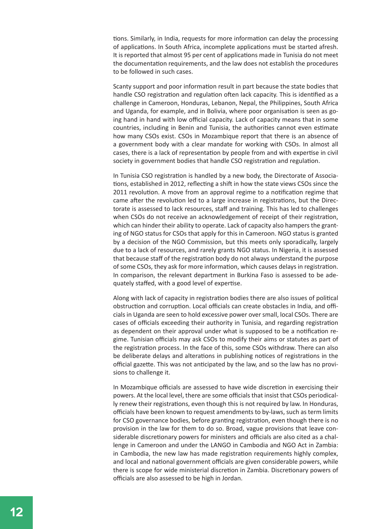tions. Similarly, in India, requests for more information can delay the processing of applications. In South Africa, incomplete applications must be started afresh. It is reported that almost 95 per cent of applications made in Tunisia do not meet the documentation requirements, and the law does not establish the procedures to be followed in such cases.

Scanty support and poor information result in part because the state bodies that handle CSO registration and regulation often lack capacity. This is identified as a challenge in Cameroon, Honduras, Lebanon, Nepal, the Philippines, South Africa and Uganda, for example, and in Bolivia, where poor organisation is seen as going hand in hand with low official capacity. Lack of capacity means that in some countries, including in Benin and Tunisia, the authorities cannot even estimate how many CSOs exist. CSOs in Mozambique report that there is an absence of a government body with a clear mandate for working with CSOs. In almost all cases, there is a lack of representation by people from and with expertise in civil society in government bodies that handle CSO registration and regulation.

In Tunisia CSO registration is handled by a new body, the Directorate of Associations, established in 2012, reflecting a shift in how the state views CSOs since the 2011 revolution. A move from an approval regime to a notification regime that came after the revolution led to a large increase in registrations, but the Directorate is assessed to lack resources, staff and training. This has led to challenges when CSOs do not receive an acknowledgement of receipt of their registration, which can hinder their ability to operate. Lack of capacity also hampers the granting of NGO status for CSOs that apply for this in Cameroon. NGO status is granted by a decision of the NGO Commission, but this meets only sporadically, largely due to a lack of resources, and rarely grants NGO status. In Nigeria, it is assessed that because staff of the registration body do not always understand the purpose of some CSOs, they ask for more information, which causes delays in registration. In comparison, the relevant department in Burkina Faso is assessed to be adequately staffed, with a good level of expertise.

Along with lack of capacity in registration bodies there are also issues of political obstruction and corruption. Local officials can create obstacles in India, and officials in Uganda are seen to hold excessive power over small, local CSOs. There are cases of officials exceeding their authority in Tunisia, and regarding registration as dependent on their approval under what is supposed to be a notification regime. Tunisian officials may ask CSOs to modify their aims or statutes as part of the registration process. In the face of this, some CSOs withdraw. There can also be deliberate delays and alterations in publishing notices of registrations in the official gazette. This was not anticipated by the law, and so the law has no provisions to challenge it.

In Mozambique officials are assessed to have wide discretion in exercising their powers. At the local level, there are some officials that insist that CSOs periodically renew their registrations, even though this is not required by law. In Honduras, officials have been known to request amendments to by-laws, such as term limits for CSO governance bodies, before granting registration, even though there is no provision in the law for them to do so. Broad, vague provisions that leave considerable discretionary powers for ministers and officials are also cited as a challenge in Cameroon and under the LANGO in Cambodia and NGO Act in Zambia: in Cambodia, the new law has made registration requirements highly complex, and local and national government officials are given considerable powers, while there is scope for wide ministerial discretion in Zambia. Discretionary powers of officials are also assessed to be high in Jordan.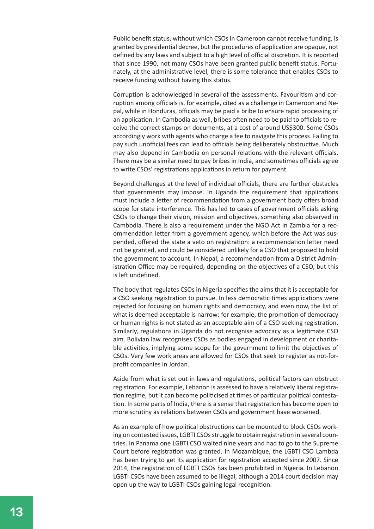Public benefit status, without which CSOs in Cameroon cannot receive funding, is granted by presidential decree, but the procedures of application are opaque, not defined by any laws and subject to a high level of official discretion. It is reported that since 1990, not many CSOs have been granted public benefit status. Fortunately, at the administrative level, there is some tolerance that enables CSOs to receive funding without having this status.

Corruption is acknowledged in several of the assessments. Favouritism and corruption among officials is, for example, cited as a challenge in Cameroon and Nepal, while in Honduras, officials may be paid a bribe to ensure rapid processing of an application. In Cambodia as well, bribes often need to be paid to officials to receive the correct stamps on documents, at a cost of around US\$300. Some CSOs accordingly work with agents who charge a fee to navigate this process. Failing to pay such unofficial fees can lead to officials being deliberately obstructive. Much may also depend in Cambodia on personal relations with the relevant officials. There may be a similar need to pay bribes in India, and sometimes officials agree to write CSOs' registrations applications in return for payment.

Beyond challenges at the level of individual officials, there are further obstacles that governments may impose. In Uganda the requirement that applications must include a letter of recommendation from a government body offers broad scope for state interference. This has led to cases of government officials asking CSOs to change their vision, mission and objectives, something also observed in Cambodia. There is also a requirement under the NGO Act in Zambia for a recommendation letter from a government agency, which before the Act was suspended, offered the state a veto on registration: a recommendation letter need not be granted, and could be considered unlikely for a CSO that proposed to hold the government to account. In Nepal, a recommendation from a District Administration Office may be required, depending on the objectives of a CSO, but this is left undefined.

The body that regulates CSOs in Nigeria specifies the aims that it is acceptable for a CSO seeking registration to pursue. In less democratic times applications were rejected for focusing on human rights and democracy, and even now, the list of what is deemed acceptable is narrow: for example, the promotion of democracy or human rights is not stated as an acceptable aim of a CSO seeking registration. Similarly, regulations in Uganda do not recognise advocacy as a legitimate CSO aim. Bolivian law recognises CSOs as bodies engaged in development or charitable activities, implying some scope for the government to limit the objectives of CSOs. Very few work areas are allowed for CSOs that seek to register as not-forprofit companies in Jordan.

Aside from what is set out in laws and regulations, political factors can obstruct registration. For example, Lebanon is assessed to have a relatively liberal registration regime, but it can become politicised at times of particular political contestation. In some parts of India, there is a sense that registration has become open to more scrutiny as relations between CSOs and government have worsened.

As an example of how political obstructions can be mounted to block CSOs working on contested issues, LGBTI CSOs struggle to obtain registration in several countries. In Panama one LGBTI CSO waited nine years and had to go to the Supreme Court before registration was granted. In Mozambique, the LGBTI CSO Lambda has been trying to get its application for registration accepted since 2007. Since 2014, the registration of LGBTI CSOs has been prohibited in Nigeria. In Lebanon LGBTI CSOs have been assumed to be illegal, although a 2014 court decision may open up the way to LGBTI CSOs gaining legal recognition.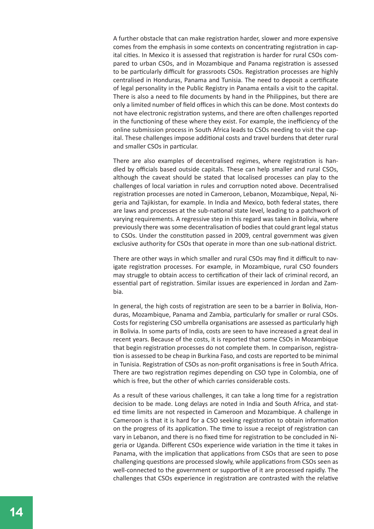A further obstacle that can make registration harder, slower and more expensive comes from the emphasis in some contexts on concentrating registration in capital cities. In Mexico it is assessed that registration is harder for rural CSOs compared to urban CSOs, and in Mozambique and Panama registration is assessed to be particularly difficult for grassroots CSOs. Registration processes are highly centralised in Honduras, Panama and Tunisia. The need to deposit a certificate of legal personality in the Public Registry in Panama entails a visit to the capital. There is also a need to file documents by hand in the Philippines, but there are only a limited number of field offices in which this can be done. Most contexts do not have electronic registration systems, and there are often challenges reported in the functioning of these where they exist. For example, the inefficiency of the online submission process in South Africa leads to CSOs needing to visit the capital. These challenges impose additional costs and travel burdens that deter rural and smaller CSOs in particular.

There are also examples of decentralised regimes, where registration is handled by officials based outside capitals. These can help smaller and rural CSOs, although the caveat should be stated that localised processes can play to the challenges of local variation in rules and corruption noted above. Decentralised registration processes are noted in Cameroon, Lebanon, Mozambique, Nepal, Nigeria and Tajikistan, for example. In India and Mexico, both federal states, there are laws and processes at the sub-national state level, leading to a patchwork of varying requirements. A regressive step in this regard was taken in Bolivia, where previously there was some decentralisation of bodies that could grant legal status to CSOs. Under the constitution passed in 2009, central government was given exclusive authority for CSOs that operate in more than one sub-national district.

There are other ways in which smaller and rural CSOs may find it difficult to navigate registration processes. For example, in Mozambique, rural CSO founders may struggle to obtain access to certification of their lack of criminal record, an essential part of registration. Similar issues are experienced in Jordan and Zambia.

In general, the high costs of registration are seen to be a barrier in Bolivia, Honduras, Mozambique, Panama and Zambia, particularly for smaller or rural CSOs. Costs for registering CSO umbrella organisations are assessed as particularly high in Bolivia. In some parts of India, costs are seen to have increased a great deal in recent years. Because of the costs, it is reported that some CSOs in Mozambique that begin registration processes do not complete them. In comparison, registration is assessed to be cheap in Burkina Faso, and costs are reported to be minimal in Tunisia. Registration of CSOs as non-profit organisations is free in South Africa. There are two registration regimes depending on CSO type in Colombia, one of which is free, but the other of which carries considerable costs.

As a result of these various challenges, it can take a long time for a registration decision to be made. Long delays are noted in India and South Africa, and stated time limits are not respected in Cameroon and Mozambique. A challenge in Cameroon is that it is hard for a CSO seeking registration to obtain information on the progress of its application. The time to issue a receipt of registration can vary in Lebanon, and there is no fixed time for registration to be concluded in Nigeria or Uganda. Different CSOs experience wide variation in the time it takes in Panama, with the implication that applications from CSOs that are seen to pose challenging questions are processed slowly, while applications from CSOs seen as well-connected to the government or supportive of it are processed rapidly. The challenges that CSOs experience in registration are contrasted with the relative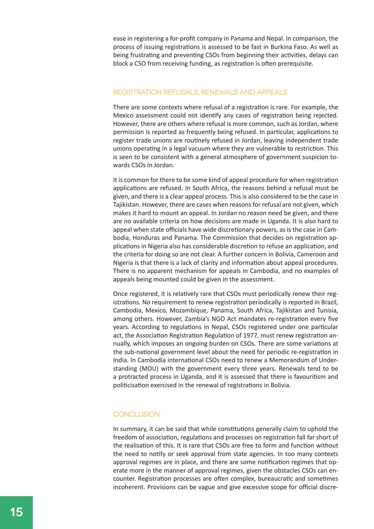ease in registering a for-profit company in Panama and Nepal. In comparison, the process of issuing registrations is assessed to be fast in Burkina Faso. As well as being frustrating and preventing CSOs from beginning their activities, delays can block a CSO from receiving funding, as registration is often prerequisite.

#### Registration refusals, renewals and appeals

There are some contexts where refusal of a registration is rare. For example, the Mexico assessment could not identify any cases of registration being rejected. However, there are others where refusal is more common, such as Jordan, where permission is reported as frequently being refused. In particular, applications to register trade unions are routinely refused in Jordan, leaving independent trade unions operating in a legal vacuum where they are vulnerable to restriction. This is seen to be consistent with a general atmosphere of government suspicion towards CSOs in Jordan.

It is common for there to be some kind of appeal procedure for when registration applications are refused. In South Africa, the reasons behind a refusal must be given, and there is a clear appeal process. This is also considered to be the case in Tajikistan. However, there are cases when reasons for refusal are not given, which makes it hard to mount an appeal. In Jordan no reason need be given, and there are no available criteria on how decisions are made in Uganda. It is also hard to appeal when state officials have wide discretionary powers, as is the case in Cambodia, Honduras and Panama. The Commission that decides on registration applications in Nigeria also has considerable discretion to refuse an application, and the criteria for doing so are not clear. A further concern in Bolivia, Cameroon and Nigeria is that there is a lack of clarity and information about appeal procedures. There is no apparent mechanism for appeals in Cambodia, and no examples of appeals being mounted could be given in the assessment.

Once registered, it is relatively rare that CSOs must periodically renew their registrations. No requirement to renew registration periodically is reported in Brazil, Cambodia, Mexico, Mozambique, Panama, South Africa, Tajikistan and Tunisia, among others. However, Zambia's NGO Act mandates re-registration every five years. According to regulations in Nepal, CSOs registered under one particular act, the Association Registration Regulation of 1977, must renew registration annually, which imposes an ongoing burden on CSOs. There are some variations at the sub-national government level about the need for periodic re-registration in India. In Cambodia international CSOs need to renew a Memorandum of Understanding (MOU) with the government every three years. Renewals tend to be a protracted process in Uganda, and it is assessed that there is favouritism and politicisation exercised in the renewal of registrations in Bolivia.

#### **CONCLUSION**

In summary, it can be said that while constitutions generally claim to uphold the freedom of association, regulations and processes on registration fall far short of the realisation of this. It is rare that CSOs are free to form and function without the need to notify or seek approval from state agencies. In too many contexts approval regimes are in place, and there are some notification regimes that operate more in the manner of approval regimes, given the obstacles CSOs can encounter. Registration processes are often complex, bureaucratic and sometimes incoherent. Provisions can be vague and give excessive scope for official discre-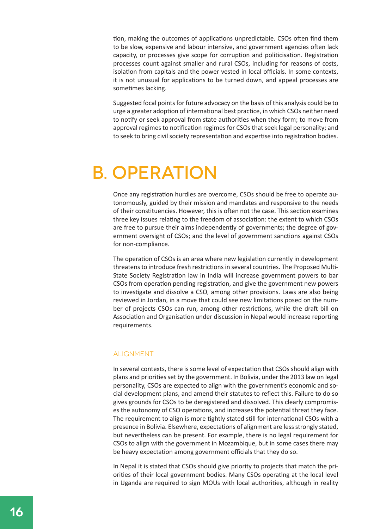tion, making the outcomes of applications unpredictable. CSOs often find them to be slow, expensive and labour intensive, and government agencies often lack capacity, or processes give scope for corruption and politicisation. Registration processes count against smaller and rural CSOs, including for reasons of costs, isolation from capitals and the power vested in local officials. In some contexts, it is not unusual for applications to be turned down, and appeal processes are sometimes lacking.

Suggested focal points for future advocacy on the basis of this analysis could be to urge a greater adoption of international best practice, in which CSOs neither need to notify or seek approval from state authorities when they form; to move from approval regimes to notification regimes for CSOs that seek legal personality; and to seek to bring civil society representation and expertise into registration bodies.

### B. operation

Once any registration hurdles are overcome, CSOs should be free to operate autonomously, guided by their mission and mandates and responsive to the needs of their constituencies. However, this is often not the case. This section examines three key issues relating to the freedom of association: the extent to which CSOs are free to pursue their aims independently of governments; the degree of government oversight of CSOs; and the level of government sanctions against CSOs for non-compliance.

The operation of CSOs is an area where new legislation currently in development threatens to introduce fresh restrictions in several countries. The Proposed Multi-State Society Registration law in India will increase government powers to bar CSOs from operation pending registration, and give the government new powers to investigate and dissolve a CSO, among other provisions. Laws are also being reviewed in Jordan, in a move that could see new limitations posed on the number of projects CSOs can run, among other restrictions, while the draft bill on Association and Organisation under discussion in Nepal would increase reporting requirements.

#### **ALIGNMENT**

In several contexts, there is some level of expectation that CSOs should align with plans and priorities set by the government. In Bolivia, under the 2013 law on legal personality, CSOs are expected to align with the government's economic and social development plans, and amend their statutes to reflect this. Failure to do so gives grounds for CSOs to be deregistered and dissolved. This clearly compromises the autonomy of CSO operations, and increases the potential threat they face. The requirement to align is more tightly stated still for international CSOs with a presence in Bolivia. Elsewhere, expectations of alignment are less strongly stated, but nevertheless can be present. For example, there is no legal requirement for CSOs to align with the government in Mozambique, but in some cases there may be heavy expectation among government officials that they do so.

In Nepal it is stated that CSOs should give priority to projects that match the priorities of their local government bodies. Many CSOs operating at the local level in Uganda are required to sign MOUs with local authorities, although in reality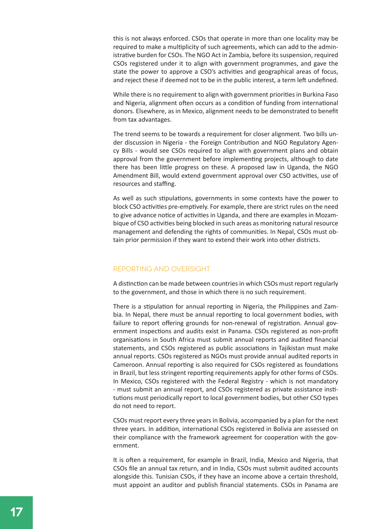this is not always enforced. CSOs that operate in more than one locality may be required to make a multiplicity of such agreements, which can add to the administrative burden for CSOs. The NGO Act in Zambia, before its suspension, required CSOs registered under it to align with government programmes, and gave the state the power to approve a CSO's activities and geographical areas of focus, and reject these if deemed not to be in the public interest, a term left undefined.

While there is no requirement to align with government priorities in Burkina Faso and Nigeria, alignment often occurs as a condition of funding from international donors. Elsewhere, as in Mexico, alignment needs to be demonstrated to benefit from tax advantages.

The trend seems to be towards a requirement for closer alignment. Two bills under discussion in Nigeria - the Foreign Contribution and NGO Regulatory Agency Bills - would see CSOs required to align with government plans and obtain approval from the government before implementing projects, although to date there has been little progress on these. A proposed law in Uganda, the NGO Amendment Bill, would extend government approval over CSO activities, use of resources and staffing.

As well as such stipulations, governments in some contexts have the power to block CSO activities pre-emptively. For example, there are strict rules on the need to give advance notice of activities in Uganda, and there are examples in Mozambique of CSO activities being blocked in such areas as monitoring natural resource management and defending the rights of communities. In Nepal, CSOs must obtain prior permission if they want to extend their work into other districts.

#### Reporting and oversight

A distinction can be made between countries in which CSOs must report regularly to the government, and those in which there is no such requirement.

There is a stipulation for annual reporting in Nigeria, the Philippines and Zambia. In Nepal, there must be annual reporting to local government bodies, with failure to report offering grounds for non-renewal of registration. Annual government inspections and audits exist in Panama. CSOs registered as non-profit organisations in South Africa must submit annual reports and audited financial statements, and CSOs registered as public associations in Tajikistan must make annual reports. CSOs registered as NGOs must provide annual audited reports in Cameroon. Annual reporting is also required for CSOs registered as foundations in Brazil, but less stringent reporting requirements apply for other forms of CSOs. In Mexico, CSOs registered with the Federal Registry - which is not mandatory - must submit an annual report, and CSOs registered as private assistance institutions must periodically report to local government bodies, but other CSO types do not need to report.

CSOs must report every three years in Bolivia, accompanied by a plan for the next three years. In addition, international CSOs registered in Bolivia are assessed on their compliance with the framework agreement for cooperation with the government.

It is often a requirement, for example in Brazil, India, Mexico and Nigeria, that CSOs file an annual tax return, and in India, CSOs must submit audited accounts alongside this. Tunisian CSOs, if they have an income above a certain threshold, must appoint an auditor and publish financial statements. CSOs in Panama are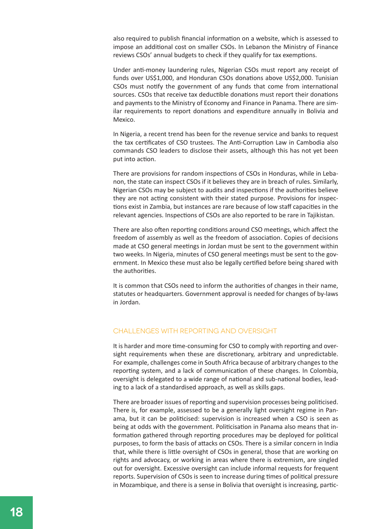also required to publish financial information on a website, which is assessed to impose an additional cost on smaller CSOs. In Lebanon the Ministry of Finance reviews CSOs' annual budgets to check if they qualify for tax exemptions.

Under anti-money laundering rules, Nigerian CSOs must report any receipt of funds over US\$1,000, and Honduran CSOs donations above US\$2,000. Tunisian CSOs must notify the government of any funds that come from international sources. CSOs that receive tax deductible donations must report their donations and payments to the Ministry of Economy and Finance in Panama. There are similar requirements to report donations and expenditure annually in Bolivia and Mexico.

In Nigeria, a recent trend has been for the revenue service and banks to request the tax certificates of CSO trustees. The Anti-Corruption Law in Cambodia also commands CSO leaders to disclose their assets, although this has not yet been put into action.

There are provisions for random inspections of CSOs in Honduras, while in Lebanon, the state can inspect CSOs if it believes they are in breach of rules. Similarly, Nigerian CSOs may be subject to audits and inspections if the authorities believe they are not acting consistent with their stated purpose. Provisions for inspections exist in Zambia, but instances are rare because of low staff capacities in the relevant agencies. Inspections of CSOs are also reported to be rare in Tajikistan.

There are also often reporting conditions around CSO meetings, which affect the freedom of assembly as well as the freedom of association. Copies of decisions made at CSO general meetings in Jordan must be sent to the government within two weeks. In Nigeria, minutes of CSO general meetings must be sent to the government. In Mexico these must also be legally certified before being shared with the authorities.

It is common that CSOs need to inform the authorities of changes in their name, statutes or headquarters. Government approval is needed for changes of by-laws in Jordan.

#### Challenges with reporting and oversight

It is harder and more time-consuming for CSO to comply with reporting and oversight requirements when these are discretionary, arbitrary and unpredictable. For example, challenges come in South Africa because of arbitrary changes to the reporting system, and a lack of communication of these changes. In Colombia, oversight is delegated to a wide range of national and sub-national bodies, leading to a lack of a standardised approach, as well as skills gaps.

There are broader issues of reporting and supervision processes being politicised. There is, for example, assessed to be a generally light oversight regime in Panama, but it can be politicised: supervision is increased when a CSO is seen as being at odds with the government. Politicisation in Panama also means that information gathered through reporting procedures may be deployed for political purposes, to form the basis of attacks on CSOs. There is a similar concern in India that, while there is little oversight of CSOs in general, those that are working on rights and advocacy, or working in areas where there is extremism, are singled out for oversight. Excessive oversight can include informal requests for frequent reports. Supervision of CSOs is seen to increase during times of political pressure in Mozambique, and there is a sense in Bolivia that oversight is increasing, partic-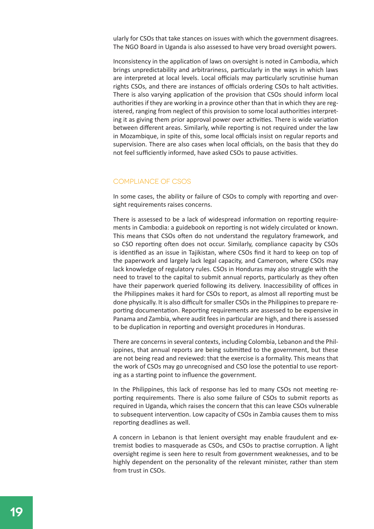ularly for CSOs that take stances on issues with which the government disagrees. The NGO Board in Uganda is also assessed to have very broad oversight powers.

Inconsistency in the application of laws on oversight is noted in Cambodia, which brings unpredictability and arbitrariness, particularly in the ways in which laws are interpreted at local levels. Local officials may particularly scrutinise human rights CSOs, and there are instances of officials ordering CSOs to halt activities. There is also varying application of the provision that CSOs should inform local authorities if they are working in a province other than that in which they are registered, ranging from neglect of this provision to some local authorities interpreting it as giving them prior approval power over activities. There is wide variation between different areas. Similarly, while reporting is not required under the law in Mozambique, in spite of this, some local officials insist on regular reports and supervision. There are also cases when local officials, on the basis that they do not feel sufficiently informed, have asked CSOs to pause activities.

#### Compliance of CSOs

In some cases, the ability or failure of CSOs to comply with reporting and oversight requirements raises concerns.

There is assessed to be a lack of widespread information on reporting requirements in Cambodia: a guidebook on reporting is not widely circulated or known. This means that CSOs often do not understand the regulatory framework, and so CSO reporting often does not occur. Similarly, compliance capacity by CSOs is identified as an issue in Tajikistan, where CSOs find it hard to keep on top of the paperwork and largely lack legal capacity, and Cameroon, where CSOs may lack knowledge of regulatory rules. CSOs in Honduras may also struggle with the need to travel to the capital to submit annual reports, particularly as they often have their paperwork queried following its delivery. Inaccessibility of offices in the Philippines makes it hard for CSOs to report, as almost all reporting must be done physically. It is also difficult for smaller CSOs in the Philippines to prepare reporting documentation. Reporting requirements are assessed to be expensive in Panama and Zambia, where audit fees in particular are high, and there is assessed to be duplication in reporting and oversight procedures in Honduras.

There are concerns in several contexts, including Colombia, Lebanon and the Philippines, that annual reports are being submitted to the government, but these are not being read and reviewed: that the exercise is a formality. This means that the work of CSOs may go unrecognised and CSO lose the potential to use reporting as a starting point to influence the government.

In the Philippines, this lack of response has led to many CSOs not meeting reporting requirements. There is also some failure of CSOs to submit reports as required in Uganda, which raises the concern that this can leave CSOs vulnerable to subsequent intervention. Low capacity of CSOs in Zambia causes them to miss reporting deadlines as well.

A concern in Lebanon is that lenient oversight may enable fraudulent and extremist bodies to masquerade as CSOs, and CSOs to practise corruption. A light oversight regime is seen here to result from government weaknesses, and to be highly dependent on the personality of the relevant minister, rather than stem from trust in CSOs.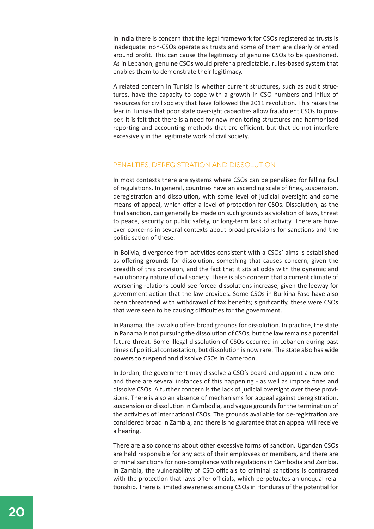In India there is concern that the legal framework for CSOs registered as trusts is inadequate: non-CSOs operate as trusts and some of them are clearly oriented around profit. This can cause the legitimacy of genuine CSOs to be questioned. As in Lebanon, genuine CSOs would prefer a predictable, rules-based system that enables them to demonstrate their legitimacy.

A related concern in Tunisia is whether current structures, such as audit structures, have the capacity to cope with a growth in CSO numbers and influx of resources for civil society that have followed the 2011 revolution. This raises the fear in Tunisia that poor state oversight capacities allow fraudulent CSOs to prosper. It is felt that there is a need for new monitoring structures and harmonised reporting and accounting methods that are efficient, but that do not interfere excessively in the legitimate work of civil society.

#### Penalties, deregistration and dissolution

In most contexts there are systems where CSOs can be penalised for falling foul of regulations. In general, countries have an ascending scale of fines, suspension, deregistration and dissolution, with some level of judicial oversight and some means of appeal, which offer a level of protection for CSOs. Dissolution, as the final sanction, can generally be made on such grounds as violation of laws, threat to peace, security or public safety, or long-term lack of activity. There are however concerns in several contexts about broad provisions for sanctions and the politicisation of these.

In Bolivia, divergence from activities consistent with a CSOs' aims is established as offering grounds for dissolution, something that causes concern, given the breadth of this provision, and the fact that it sits at odds with the dynamic and evolutionary nature of civil society. There is also concern that a current climate of worsening relations could see forced dissolutions increase, given the leeway for government action that the law provides. Some CSOs in Burkina Faso have also been threatened with withdrawal of tax benefits; significantly, these were CSOs that were seen to be causing difficulties for the government.

In Panama, the law also offers broad grounds for dissolution. In practice, the state in Panama is not pursuing the dissolution of CSOs, but the law remains a potential future threat. Some illegal dissolution of CSOs occurred in Lebanon during past times of political contestation, but dissolution is now rare. The state also has wide powers to suspend and dissolve CSOs in Cameroon.

In Jordan, the government may dissolve a CSO's board and appoint a new one and there are several instances of this happening - as well as impose fines and dissolve CSOs. A further concern is the lack of judicial oversight over these provisions. There is also an absence of mechanisms for appeal against deregistration, suspension or dissolution in Cambodia, and vague grounds for the termination of the activities of international CSOs. The grounds available for de-registration are considered broad in Zambia, and there is no guarantee that an appeal will receive a hearing.

There are also concerns about other excessive forms of sanction. Ugandan CSOs are held responsible for any acts of their employees or members, and there are criminal sanctions for non-compliance with regulations in Cambodia and Zambia. In Zambia, the vulnerability of CSO officials to criminal sanctions is contrasted with the protection that laws offer officials, which perpetuates an unequal relationship. There is limited awareness among CSOs in Honduras of the potential for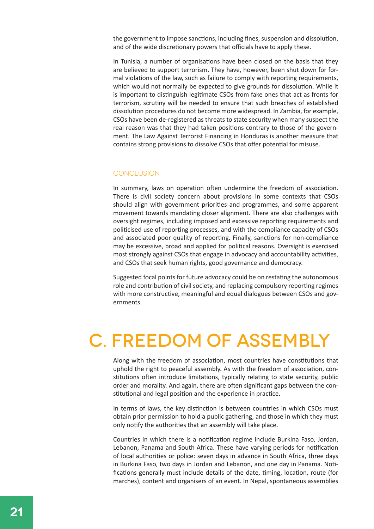the government to impose sanctions, including fines, suspension and dissolution, and of the wide discretionary powers that officials have to apply these.

In Tunisia, a number of organisations have been closed on the basis that they are believed to support terrorism. They have, however, been shut down for formal violations of the law, such as failure to comply with reporting requirements, which would not normally be expected to give grounds for dissolution. While it is important to distinguish legitimate CSOs from fake ones that act as fronts for terrorism, scrutiny will be needed to ensure that such breaches of established dissolution procedures do not become more widespread. In Zambia, for example, CSOs have been de-registered as threats to state security when many suspect the real reason was that they had taken positions contrary to those of the government. The Law Against Terrorist Financing in Honduras is another measure that contains strong provisions to dissolve CSOs that offer potential for misuse.

#### **CONCLUSION**

In summary, laws on operation often undermine the freedom of association. There is civil society concern about provisions in some contexts that CSOs should align with government priorities and programmes, and some apparent movement towards mandating closer alignment. There are also challenges with oversight regimes, including imposed and excessive reporting requirements and politicised use of reporting processes, and with the compliance capacity of CSOs and associated poor quality of reporting. Finally, sanctions for non-compliance may be excessive, broad and applied for political reasons. Oversight is exercised most strongly against CSOs that engage in advocacy and accountability activities, and CSOs that seek human rights, good governance and democracy.

Suggested focal points for future advocacy could be on restating the autonomous role and contribution of civil society, and replacing compulsory reporting regimes with more constructive, meaningful and equal dialogues between CSOs and governments.

### c. Freedom of assembly

Along with the freedom of association, most countries have constitutions that uphold the right to peaceful assembly. As with the freedom of association, constitutions often introduce limitations, typically relating to state security, public order and morality. And again, there are often significant gaps between the constitutional and legal position and the experience in practice.

In terms of laws, the key distinction is between countries in which CSOs must obtain prior permission to hold a public gathering, and those in which they must only notify the authorities that an assembly will take place.

Countries in which there is a notification regime include Burkina Faso, Jordan, Lebanon, Panama and South Africa. These have varying periods for notification of local authorities or police: seven days in advance in South Africa, three days in Burkina Faso, two days in Jordan and Lebanon, and one day in Panama. Notifications generally must include details of the date, timing, location, route (for marches), content and organisers of an event. In Nepal, spontaneous assemblies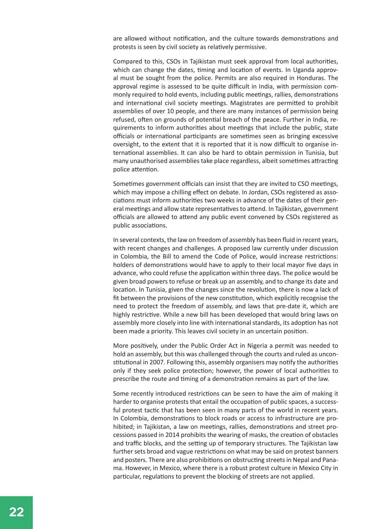are allowed without notification, and the culture towards demonstrations and protests is seen by civil society as relatively permissive.

Compared to this, CSOs in Tajikistan must seek approval from local authorities, which can change the dates, timing and location of events. In Uganda approval must be sought from the police. Permits are also required in Honduras. The approval regime is assessed to be quite difficult in India, with permission commonly required to hold events, including public meetings, rallies, demonstrations and international civil society meetings. Magistrates are permitted to prohibit assemblies of over 10 people, and there are many instances of permission being refused, often on grounds of potential breach of the peace. Further in India, requirements to inform authorities about meetings that include the public, state officials or international participants are sometimes seen as bringing excessive oversight, to the extent that it is reported that it is now difficult to organise international assemblies. It can also be hard to obtain permission in Tunisia, but many unauthorised assemblies take place regardless, albeit sometimes attracting police attention.

Sometimes government officials can insist that they are invited to CSO meetings, which may impose a chilling effect on debate. In Jordan, CSOs registered as associations must inform authorities two weeks in advance of the dates of their general meetings and allow state representatives to attend. In Tajikistan, government officials are allowed to attend any public event convened by CSOs registered as public associations.

In several contexts, the law on freedom of assembly has been fluid in recent years, with recent changes and challenges. A proposed law currently under discussion in Colombia, the Bill to amend the Code of Police, would increase restrictions: holders of demonstrations would have to apply to their local mayor five days in advance, who could refuse the application within three days. The police would be given broad powers to refuse or break up an assembly, and to change its date and location. In Tunisia, given the changes since the revolution, there is now a lack of fit between the provisions of the new constitution, which explicitly recognise the need to protect the freedom of assembly, and laws that pre-date it, which are highly restrictive. While a new bill has been developed that would bring laws on assembly more closely into line with international standards, its adoption has not been made a priority. This leaves civil society in an uncertain position.

More positively, under the Public Order Act in Nigeria a permit was needed to hold an assembly, but this was challenged through the courts and ruled as unconstitutional in 2007. Following this, assembly organisers may notify the authorities only if they seek police protection; however, the power of local authorities to prescribe the route and timing of a demonstration remains as part of the law.

Some recently introduced restrictions can be seen to have the aim of making it harder to organise protests that entail the occupation of public spaces, a successful protest tactic that has been seen in many parts of the world in recent years. In Colombia, demonstrations to block roads or access to infrastructure are prohibited; in Tajikistan, a law on meetings, rallies, demonstrations and street processions passed in 2014 prohibits the wearing of masks, the creation of obstacles and traffic blocks, and the setting up of temporary structures. The Tajikistan law further sets broad and vague restrictions on what may be said on protest banners and posters. There are also prohibitions on obstructing streets in Nepal and Panama. However, in Mexico, where there is a robust protest culture in Mexico City in particular, regulations to prevent the blocking of streets are not applied.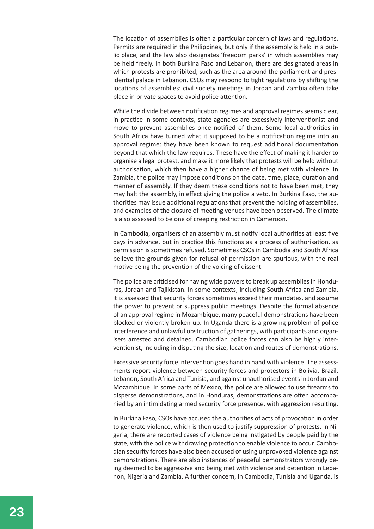The location of assemblies is often a particular concern of laws and regulations. Permits are required in the Philippines, but only if the assembly is held in a public place, and the law also designates 'freedom parks' in which assemblies may be held freely. In both Burkina Faso and Lebanon, there are designated areas in which protests are prohibited, such as the area around the parliament and presidential palace in Lebanon. CSOs may respond to tight regulations by shifting the locations of assemblies: civil society meetings in Jordan and Zambia often take place in private spaces to avoid police attention.

While the divide between notification regimes and approval regimes seems clear, in practice in some contexts, state agencies are excessively interventionist and move to prevent assemblies once notified of them. Some local authorities in South Africa have turned what it supposed to be a notification regime into an approval regime: they have been known to request additional documentation beyond that which the law requires. These have the effect of making it harder to organise a legal protest, and make it more likely that protests will be held without authorisation, which then have a higher chance of being met with violence. In Zambia, the police may impose conditions on the date, time, place, duration and manner of assembly. If they deem these conditions not to have been met, they may halt the assembly, in effect giving the police a veto. In Burkina Faso, the authorities may issue additional regulations that prevent the holding of assemblies, and examples of the closure of meeting venues have been observed. The climate is also assessed to be one of creeping restriction in Cameroon.

In Cambodia, organisers of an assembly must notify local authorities at least five days in advance, but in practice this functions as a process of authorisation, as permission is sometimes refused. Sometimes CSOs in Cambodia and South Africa believe the grounds given for refusal of permission are spurious, with the real motive being the prevention of the voicing of dissent.

The police are criticised for having wide powers to break up assemblies in Honduras, Jordan and Tajikistan. In some contexts, including South Africa and Zambia, it is assessed that security forces sometimes exceed their mandates, and assume the power to prevent or suppress public meetings. Despite the formal absence of an approval regime in Mozambique, many peaceful demonstrations have been blocked or violently broken up. In Uganda there is a growing problem of police interference and unlawful obstruction of gatherings, with participants and organisers arrested and detained. Cambodian police forces can also be highly interventionist, including in disputing the size, location and routes of demonstrations.

Excessive security force intervention goes hand in hand with violence. The assessments report violence between security forces and protestors in Bolivia, Brazil, Lebanon, South Africa and Tunisia, and against unauthorised events in Jordan and Mozambique. In some parts of Mexico, the police are allowed to use firearms to disperse demonstrations, and in Honduras, demonstrations are often accompanied by an intimidating armed security force presence, with aggression resulting.

In Burkina Faso, CSOs have accused the authorities of acts of provocation in order to generate violence, which is then used to justify suppression of protests. In Nigeria, there are reported cases of violence being instigated by people paid by the state, with the police withdrawing protection to enable violence to occur. Cambodian security forces have also been accused of using unprovoked violence against demonstrations. There are also instances of peaceful demonstrators wrongly being deemed to be aggressive and being met with violence and detention in Lebanon, Nigeria and Zambia. A further concern, in Cambodia, Tunisia and Uganda, is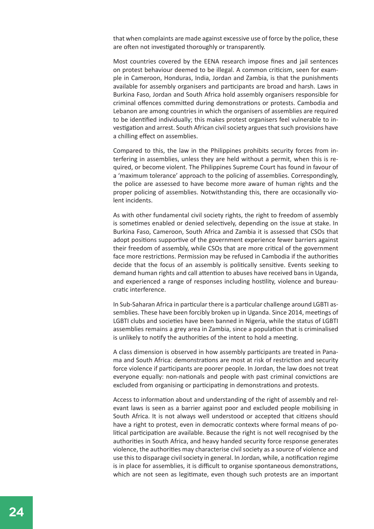that when complaints are made against excessive use of force by the police, these are often not investigated thoroughly or transparently.

Most countries covered by the EENA research impose fines and jail sentences on protest behaviour deemed to be illegal. A common criticism, seen for example in Cameroon, Honduras, India, Jordan and Zambia, is that the punishments available for assembly organisers and participants are broad and harsh. Laws in Burkina Faso, Jordan and South Africa hold assembly organisers responsible for criminal offences committed during demonstrations or protests. Cambodia and Lebanon are among countries in which the organisers of assemblies are required to be identified individually; this makes protest organisers feel vulnerable to investigation and arrest. South African civil society argues that such provisions have a chilling effect on assemblies.

Compared to this, the law in the Philippines prohibits security forces from interfering in assemblies, unless they are held without a permit, when this is required, or become violent. The Philippines Supreme Court has found in favour of a 'maximum tolerance' approach to the policing of assemblies. Correspondingly, the police are assessed to have become more aware of human rights and the proper policing of assemblies. Notwithstanding this, there are occasionally violent incidents.

As with other fundamental civil society rights, the right to freedom of assembly is sometimes enabled or denied selectively, depending on the issue at stake. In Burkina Faso, Cameroon, South Africa and Zambia it is assessed that CSOs that adopt positions supportive of the government experience fewer barriers against their freedom of assembly, while CSOs that are more critical of the government face more restrictions. Permission may be refused in Cambodia if the authorities decide that the focus of an assembly is politically sensitive. Events seeking to demand human rights and call attention to abuses have received bans in Uganda, and experienced a range of responses including hostility, violence and bureaucratic interference.

In Sub-Saharan Africa in particular there is a particular challenge around LGBTI assemblies. These have been forcibly broken up in Uganda. Since 2014, meetings of LGBTI clubs and societies have been banned in Nigeria, while the status of LGBTI assemblies remains a grey area in Zambia, since a population that is criminalised is unlikely to notify the authorities of the intent to hold a meeting.

A class dimension is observed in how assembly participants are treated in Panama and South Africa: demonstrations are most at risk of restriction and security force violence if participants are poorer people. In Jordan, the law does not treat everyone equally: non-nationals and people with past criminal convictions are excluded from organising or participating in demonstrations and protests.

Access to information about and understanding of the right of assembly and relevant laws is seen as a barrier against poor and excluded people mobilising in South Africa. It is not always well understood or accepted that citizens should have a right to protest, even in democratic contexts where formal means of political participation are available. Because the right is not well recognised by the authorities in South Africa, and heavy handed security force response generates violence, the authorities may characterise civil society as a source of violence and use this to disparage civil society in general. In Jordan, while, a notification regime is in place for assemblies, it is difficult to organise spontaneous demonstrations, which are not seen as legitimate, even though such protests are an important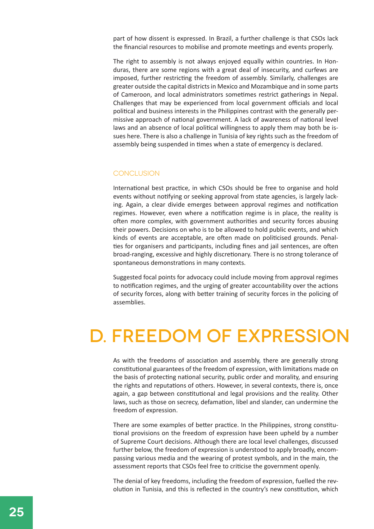part of how dissent is expressed. In Brazil, a further challenge is that CSOs lack the financial resources to mobilise and promote meetings and events properly.

The right to assembly is not always enjoyed equally within countries. In Honduras, there are some regions with a great deal of insecurity, and curfews are imposed, further restricting the freedom of assembly. Similarly, challenges are greater outside the capital districts in Mexico and Mozambique and in some parts of Cameroon, and local administrators sometimes restrict gatherings in Nepal. Challenges that may be experienced from local government officials and local political and business interests in the Philippines contrast with the generally permissive approach of national government. A lack of awareness of national level laws and an absence of local political willingness to apply them may both be issues here. There is also a challenge in Tunisia of key rights such as the freedom of assembly being suspended in times when a state of emergency is declared.

#### **CONCLUSION**

International best practice, in which CSOs should be free to organise and hold events without notifying or seeking approval from state agencies, is largely lacking. Again, a clear divide emerges between approval regimes and notification regimes. However, even where a notification regime is in place, the reality is often more complex, with government authorities and security forces abusing their powers. Decisions on who is to be allowed to hold public events, and which kinds of events are acceptable, are often made on politicised grounds. Penalties for organisers and participants, including fines and jail sentences, are often broad-ranging, excessive and highly discretionary. There is no strong tolerance of spontaneous demonstrations in many contexts.

Suggested focal points for advocacy could include moving from approval regimes to notification regimes, and the urging of greater accountability over the actions of security forces, along with better training of security forces in the policing of assemblies.

### d. Freedom of expression

As with the freedoms of association and assembly, there are generally strong constitutional guarantees of the freedom of expression, with limitations made on the basis of protecting national security, public order and morality, and ensuring the rights and reputations of others. However, in several contexts, there is, once again, a gap between constitutional and legal provisions and the reality. Other laws, such as those on secrecy, defamation, libel and slander, can undermine the freedom of expression.

There are some examples of better practice. In the Philippines, strong constitutional provisions on the freedom of expression have been upheld by a number of Supreme Court decisions. Although there are local level challenges, discussed further below, the freedom of expression is understood to apply broadly, encompassing various media and the wearing of protest symbols, and in the main, the assessment reports that CSOs feel free to criticise the government openly.

The denial of key freedoms, including the freedom of expression, fuelled the revolution in Tunisia, and this is reflected in the country's new constitution, which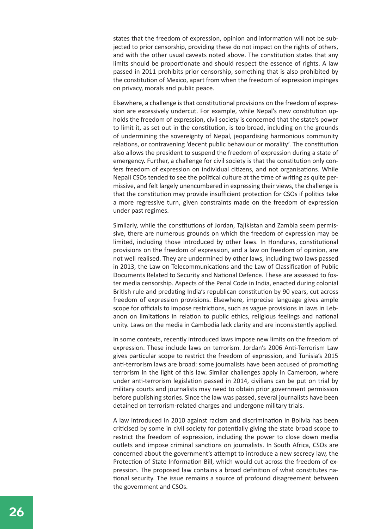states that the freedom of expression, opinion and information will not be subjected to prior censorship, providing these do not impact on the rights of others, and with the other usual caveats noted above. The constitution states that any limits should be proportionate and should respect the essence of rights. A law passed in 2011 prohibits prior censorship, something that is also prohibited by the constitution of Mexico, apart from when the freedom of expression impinges on privacy, morals and public peace.

Elsewhere, a challenge is that constitutional provisions on the freedom of expression are excessively undercut. For example, while Nepal's new constitution upholds the freedom of expression, civil society is concerned that the state's power to limit it, as set out in the constitution, is too broad, including on the grounds of undermining the sovereignty of Nepal, jeopardising harmonious community relations, or contravening 'decent public behaviour or morality'. The constitution also allows the president to suspend the freedom of expression during a state of emergency. Further, a challenge for civil society is that the constitution only confers freedom of expression on individual citizens, and not organisations. While Nepali CSOs tended to see the political culture at the time of writing as quite permissive, and felt largely unencumbered in expressing their views, the challenge is that the constitution may provide insufficient protection for CSOs if politics take a more regressive turn, given constraints made on the freedom of expression under past regimes.

Similarly, while the constitutions of Jordan, Tajikistan and Zambia seem permissive, there are numerous grounds on which the freedom of expression may be limited, including those introduced by other laws. In Honduras, constitutional provisions on the freedom of expression, and a law on freedom of opinion, are not well realised. They are undermined by other laws, including two laws passed in 2013, the Law on Telecommunications and the Law of Classification of Public Documents Related to Security and National Defence. These are assessed to foster media censorship. Aspects of the Penal Code in India, enacted during colonial British rule and predating India's republican constitution by 90 years, cut across freedom of expression provisions. Elsewhere, imprecise language gives ample scope for officials to impose restrictions, such as vague provisions in laws in Lebanon on limitations in relation to public ethics, religious feelings and national unity. Laws on the media in Cambodia lack clarity and are inconsistently applied.

In some contexts, recently introduced laws impose new limits on the freedom of expression. These include laws on terrorism. Jordan's 2006 Anti-Terrorism Law gives particular scope to restrict the freedom of expression, and Tunisia's 2015 anti-terrorism laws are broad: some journalists have been accused of promoting terrorism in the light of this law. Similar challenges apply in Cameroon, where under anti-terrorism legislation passed in 2014, civilians can be put on trial by military courts and journalists may need to obtain prior government permission before publishing stories. Since the law was passed, several journalists have been detained on terrorism-related charges and undergone military trials.

A law introduced in 2010 against racism and discrimination in Bolivia has been criticised by some in civil society for potentially giving the state broad scope to restrict the freedom of expression, including the power to close down media outlets and impose criminal sanctions on journalists. In South Africa, CSOs are concerned about the government's attempt to introduce a new secrecy law, the Protection of State Information Bill, which would cut across the freedom of expression. The proposed law contains a broad definition of what constitutes national security. The issue remains a source of profound disagreement between the government and CSOs.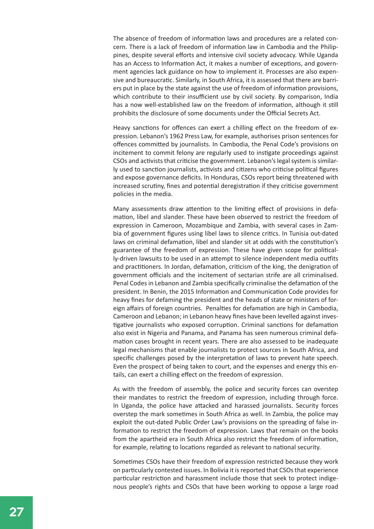The absence of freedom of information laws and procedures are a related concern. There is a lack of freedom of information law in Cambodia and the Philippines, despite several efforts and intensive civil society advocacy. While Uganda has an Access to Information Act, it makes a number of exceptions, and government agencies lack guidance on how to implement it. Processes are also expensive and bureaucratic. Similarly, in South Africa, it is assessed that there are barriers put in place by the state against the use of freedom of information provisions, which contribute to their insufficient use by civil society. By comparison, India has a now well-established law on the freedom of information, although it still prohibits the disclosure of some documents under the Official Secrets Act.

Heavy sanctions for offences can exert a chilling effect on the freedom of expression. Lebanon's 1962 Press Law, for example, authorises prison sentences for offences committed by journalists. In Cambodia, the Penal Code's provisions on incitement to commit felony are regularly used to instigate proceedings against CSOs and activists that criticise the government. Lebanon's legal system is similarly used to sanction journalists, activists and citizens who criticise political figures and expose governance deficits. In Honduras, CSOs report being threatened with increased scrutiny, fines and potential deregistration if they criticise government policies in the media.

Many assessments draw attention to the limiting effect of provisions in defamation, libel and slander. These have been observed to restrict the freedom of expression in Cameroon, Mozambique and Zambia, with several cases in Zambia of government figures using libel laws to silence critics. In Tunisia out-dated laws on criminal defamation, libel and slander sit at odds with the constitution's guarantee of the freedom of expression. These have given scope for politically-driven lawsuits to be used in an attempt to silence independent media outfits and practitioners. In Jordan, defamation, criticism of the king, the denigration of government officials and the incitement of sectarian strife are all criminalised. Penal Codes in Lebanon and Zambia specifically criminalise the defamation of the president. In Benin, the 2015 Information and Communication Code provides for heavy fines for defaming the president and the heads of state or ministers of foreign affairs of foreign countries. Penalties for defamation are high in Cambodia, Cameroon and Lebanon; in Lebanon heavy fines have been levelled against investigative journalists who exposed corruption. Criminal sanctions for defamation also exist in Nigeria and Panama, and Panama has seen numerous criminal defamation cases brought in recent years. There are also assessed to be inadequate legal mechanisms that enable journalists to protect sources in South Africa, and specific challenges posed by the interpretation of laws to prevent hate speech. Even the prospect of being taken to court, and the expenses and energy this entails, can exert a chilling effect on the freedom of expression.

As with the freedom of assembly, the police and security forces can overstep their mandates to restrict the freedom of expression, including through force. In Uganda, the police have attacked and harassed journalists. Security forces overstep the mark sometimes in South Africa as well. In Zambia, the police may exploit the out-dated Public Order Law's provisions on the spreading of false information to restrict the freedom of expression. Laws that remain on the books from the apartheid era in South Africa also restrict the freedom of information, for example, relating to locations regarded as relevant to national security.

Sometimes CSOs have their freedom of expression restricted because they work on particularly contested issues. In Bolivia it is reported that CSOs that experience particular restriction and harassment include those that seek to protect indigenous people's rights and CSOs that have been working to oppose a large road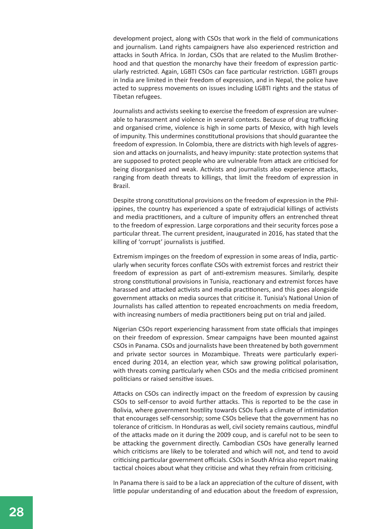development project, along with CSOs that work in the field of communications and journalism. Land rights campaigners have also experienced restriction and attacks in South Africa. In Jordan, CSOs that are related to the Muslim Brotherhood and that question the monarchy have their freedom of expression particularly restricted. Again, LGBTI CSOs can face particular restriction. LGBTI groups in India are limited in their freedom of expression, and in Nepal, the police have acted to suppress movements on issues including LGBTI rights and the status of Tibetan refugees.

Journalists and activists seeking to exercise the freedom of expression are vulnerable to harassment and violence in several contexts. Because of drug trafficking and organised crime, violence is high in some parts of Mexico, with high levels of impunity. This undermines constitutional provisions that should guarantee the freedom of expression. In Colombia, there are districts with high levels of aggression and attacks on journalists, and heavy impunity: state protection systems that are supposed to protect people who are vulnerable from attack are criticised for being disorganised and weak. Activists and journalists also experience attacks, ranging from death threats to killings, that limit the freedom of expression in Brazil.

Despite strong constitutional provisions on the freedom of expression in the Philippines, the country has experienced a spate of extrajudicial killings of activists and media practitioners, and a culture of impunity offers an entrenched threat to the freedom of expression. Large corporations and their security forces pose a particular threat. The current president, inaugurated in 2016, has stated that the killing of 'corrupt' journalists is justified.

Extremism impinges on the freedom of expression in some areas of India, particularly when security forces conflate CSOs with extremist forces and restrict their freedom of expression as part of anti-extremism measures. Similarly, despite strong constitutional provisions in Tunisia, reactionary and extremist forces have harassed and attacked activists and media practitioners, and this goes alongside government attacks on media sources that criticise it. Tunisia's National Union of Journalists has called attention to repeated encroachments on media freedom, with increasing numbers of media practitioners being put on trial and jailed.

Nigerian CSOs report experiencing harassment from state officials that impinges on their freedom of expression. Smear campaigns have been mounted against CSOs in Panama. CSOs and journalists have been threatened by both government and private sector sources in Mozambique. Threats were particularly experienced during 2014, an election year, which saw growing political polarisation, with threats coming particularly when CSOs and the media criticised prominent politicians or raised sensitive issues.

Attacks on CSOs can indirectly impact on the freedom of expression by causing CSOs to self-censor to avoid further attacks. This is reported to be the case in Bolivia, where government hostility towards CSOs fuels a climate of intimidation that encourages self-censorship; some CSOs believe that the government has no tolerance of criticism. In Honduras as well, civil society remains cautious, mindful of the attacks made on it during the 2009 coup, and is careful not to be seen to be attacking the government directly. Cambodian CSOs have generally learned which criticisms are likely to be tolerated and which will not, and tend to avoid criticising particular government officials. CSOs in South Africa also report making tactical choices about what they criticise and what they refrain from criticising.

In Panama there is said to be a lack an appreciation of the culture of dissent, with little popular understanding of and education about the freedom of expression,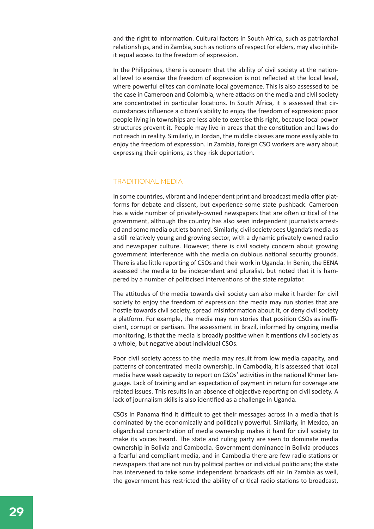and the right to information. Cultural factors in South Africa, such as patriarchal relationships, and in Zambia, such as notions of respect for elders, may also inhibit equal access to the freedom of expression.

In the Philippines, there is concern that the ability of civil society at the national level to exercise the freedom of expression is not reflected at the local level, where powerful elites can dominate local governance. This is also assessed to be the case in Cameroon and Colombia, where attacks on the media and civil society are concentrated in particular locations. In South Africa, it is assessed that circumstances influence a citizen's ability to enjoy the freedom of expression: poor people living in townships are less able to exercise this right, because local power structures prevent it. People may live in areas that the constitution and laws do not reach in reality. Similarly, in Jordan, the middle classes are more easily able to enjoy the freedom of expression. In Zambia, foreign CSO workers are wary about expressing their opinions, as they risk deportation.

#### Traditional media

In some countries, vibrant and independent print and broadcast media offer platforms for debate and dissent, but experience some state pushback. Cameroon has a wide number of privately-owned newspapers that are often critical of the government, although the country has also seen independent journalists arrested and some media outlets banned. Similarly, civil society sees Uganda's media as a still relatively young and growing sector, with a dynamic privately owned radio and newspaper culture. However, there is civil society concern about growing government interference with the media on dubious national security grounds. There is also little reporting of CSOs and their work in Uganda. In Benin, the EENA assessed the media to be independent and pluralist, but noted that it is hampered by a number of politicised interventions of the state regulator.

The attitudes of the media towards civil society can also make it harder for civil society to enjoy the freedom of expression: the media may run stories that are hostile towards civil society, spread misinformation about it, or deny civil society a platform. For example, the media may run stories that position CSOs as inefficient, corrupt or partisan. The assessment in Brazil, informed by ongoing media monitoring, is that the media is broadly positive when it mentions civil society as a whole, but negative about individual CSOs.

Poor civil society access to the media may result from low media capacity, and patterns of concentrated media ownership. In Cambodia, it is assessed that local media have weak capacity to report on CSOs' activities in the national Khmer language. Lack of training and an expectation of payment in return for coverage are related issues. This results in an absence of objective reporting on civil society. A lack of journalism skills is also identified as a challenge in Uganda.

CSOs in Panama find it difficult to get their messages across in a media that is dominated by the economically and politically powerful. Similarly, in Mexico, an oligarchical concentration of media ownership makes it hard for civil society to make its voices heard. The state and ruling party are seen to dominate media ownership in Bolivia and Cambodia. Government dominance in Bolivia produces a fearful and compliant media, and in Cambodia there are few radio stations or newspapers that are not run by political parties or individual politicians; the state has intervened to take some independent broadcasts off air. In Zambia as well, the government has restricted the ability of critical radio stations to broadcast,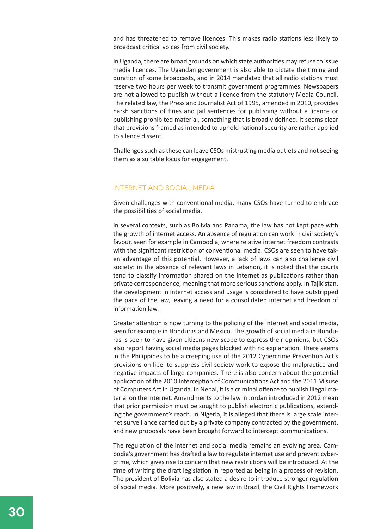and has threatened to remove licences. This makes radio stations less likely to broadcast critical voices from civil society.

In Uganda, there are broad grounds on which state authorities may refuse to issue media licences. The Ugandan government is also able to dictate the timing and duration of some broadcasts, and in 2014 mandated that all radio stations must reserve two hours per week to transmit government programmes. Newspapers are not allowed to publish without a licence from the statutory Media Council. The related law, the Press and Journalist Act of 1995, amended in 2010, provides harsh sanctions of fines and jail sentences for publishing without a licence or publishing prohibited material, something that is broadly defined. It seems clear that provisions framed as intended to uphold national security are rather applied to silence dissent.

Challenges such as these can leave CSOs mistrusting media outlets and not seeing them as a suitable locus for engagement.

#### Internet and social media

Given challenges with conventional media, many CSOs have turned to embrace the possibilities of social media.

In several contexts, such as Bolivia and Panama, the law has not kept pace with the growth of internet access. An absence of regulation can work in civil society's favour, seen for example in Cambodia, where relative internet freedom contrasts with the significant restriction of conventional media. CSOs are seen to have taken advantage of this potential. However, a lack of laws can also challenge civil society: in the absence of relevant laws in Lebanon, it is noted that the courts tend to classify information shared on the internet as publications rather than private correspondence, meaning that more serious sanctions apply. In Tajikistan, the development in internet access and usage is considered to have outstripped the pace of the law, leaving a need for a consolidated internet and freedom of information law.

Greater attention is now turning to the policing of the internet and social media, seen for example in Honduras and Mexico. The growth of social media in Honduras is seen to have given citizens new scope to express their opinions, but CSOs also report having social media pages blocked with no explanation. There seems in the Philippines to be a creeping use of the 2012 Cybercrime Prevention Act's provisions on libel to suppress civil society work to expose the malpractice and negative impacts of large companies. There is also concern about the potential application of the 2010 Interception of Communications Act and the 2011 Misuse of Computers Act in Uganda. In Nepal, it is a criminal offence to publish illegal material on the internet. Amendments to the law in Jordan introduced in 2012 mean that prior permission must be sought to publish electronic publications, extending the government's reach. In Nigeria, it is alleged that there is large scale internet surveillance carried out by a private company contracted by the government, and new proposals have been brought forward to intercept communications.

The regulation of the internet and social media remains an evolving area. Cambodia's government has drafted a law to regulate internet use and prevent cybercrime, which gives rise to concern that new restrictions will be introduced. At the time of writing the draft legislation in reported as being in a process of revision. The president of Bolivia has also stated a desire to introduce stronger regulation of social media. More positively, a new law in Brazil, the Civil Rights Framework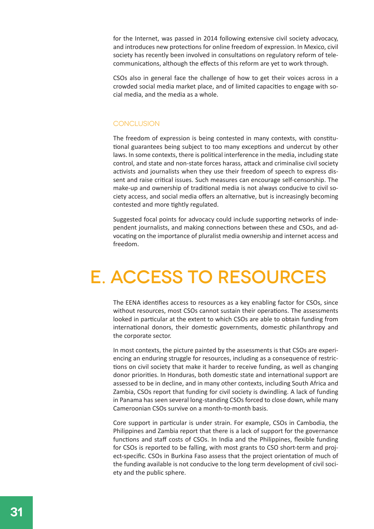for the Internet, was passed in 2014 following extensive civil society advocacy, and introduces new protections for online freedom of expression. In Mexico, civil society has recently been involved in consultations on regulatory reform of telecommunications, although the effects of this reform are yet to work through.

CSOs also in general face the challenge of how to get their voices across in a crowded social media market place, and of limited capacities to engage with social media, and the media as a whole.

#### **CONCLUSION**

The freedom of expression is being contested in many contexts, with constitutional guarantees being subject to too many exceptions and undercut by other laws. In some contexts, there is political interference in the media, including state control, and state and non-state forces harass, attack and criminalise civil society activists and journalists when they use their freedom of speech to express dissent and raise critical issues. Such measures can encourage self-censorship. The make-up and ownership of traditional media is not always conducive to civil society access, and social media offers an alternative, but is increasingly becoming contested and more tightly regulated.

Suggested focal points for advocacy could include supporting networks of independent journalists, and making connections between these and CSOs, and advocating on the importance of pluralist media ownership and internet access and freedom.

# e. Access to resources

The EENA identifies access to resources as a key enabling factor for CSOs, since without resources, most CSOs cannot sustain their operations. The assessments looked in particular at the extent to which CSOs are able to obtain funding from international donors, their domestic governments, domestic philanthropy and the corporate sector.

In most contexts, the picture painted by the assessments is that CSOs are experiencing an enduring struggle for resources, including as a consequence of restrictions on civil society that make it harder to receive funding, as well as changing donor priorities. In Honduras, both domestic state and international support are assessed to be in decline, and in many other contexts, including South Africa and Zambia, CSOs report that funding for civil society is dwindling. A lack of funding in Panama has seen several long-standing CSOs forced to close down, while many Cameroonian CSOs survive on a month-to-month basis.

Core support in particular is under strain. For example, CSOs in Cambodia, the Philippines and Zambia report that there is a lack of support for the governance functions and staff costs of CSOs. In India and the Philippines, flexible funding for CSOs is reported to be falling, with most grants to CSO short-term and project-specific. CSOs in Burkina Faso assess that the project orientation of much of the funding available is not conducive to the long term development of civil society and the public sphere.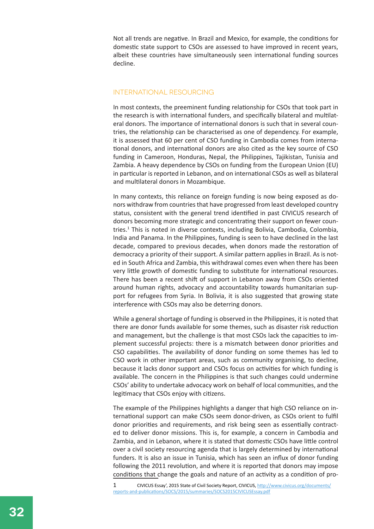Not all trends are negative. In Brazil and Mexico, for example, the conditions for domestic state support to CSOs are assessed to have improved in recent years, albeit these countries have simultaneously seen international funding sources decline.

#### International resourcing

In most contexts, the preeminent funding relationship for CSOs that took part in the research is with international funders, and specifically bilateral and multilateral donors. The importance of international donors is such that in several countries, the relationship can be characterised as one of dependency. For example, it is assessed that 60 per cent of CSO funding in Cambodia comes from international donors, and international donors are also cited as the key source of CSO funding in Cameroon, Honduras, Nepal, the Philippines, Tajikistan, Tunisia and Zambia. A heavy dependence by CSOs on funding from the European Union (EU) in particular is reported in Lebanon, and on international CSOs as well as bilateral and multilateral donors in Mozambique.

In many contexts, this reliance on foreign funding is now being exposed as donors withdraw from countries that have progressed from least developed country status, consistent with the general trend identified in past CIVICUS research of donors becoming more strategic and concentrating their support on fewer countries.<sup>1</sup> This is noted in diverse contexts, including Bolivia, Cambodia, Colombia, India and Panama. In the Philippines, funding is seen to have declined in the last decade, compared to previous decades, when donors made the restoration of democracy a priority of their support. A similar pattern applies in Brazil. As is noted in South Africa and Zambia, this withdrawal comes even when there has been very little growth of domestic funding to substitute for international resources. There has been a recent shift of support in Lebanon away from CSOs oriented around human rights, advocacy and accountability towards humanitarian support for refugees from Syria. In Bolivia, it is also suggested that growing state interference with CSOs may also be deterring donors.

While a general shortage of funding is observed in the Philippines, it is noted that there are donor funds available for some themes, such as disaster risk reduction and management, but the challenge is that most CSOs lack the capacities to implement successful projects: there is a mismatch between donor priorities and CSO capabilities. The availability of donor funding on some themes has led to CSO work in other important areas, such as community organising, to decline, because it lacks donor support and CSOs focus on activities for which funding is available. The concern in the Philippines is that such changes could undermine CSOs' ability to undertake advocacy work on behalf of local communities, and the legitimacy that CSOs enjoy with citizens.

The example of the Philippines highlights a danger that high CSO reliance on international support can make CSOs seem donor-driven, as CSOs orient to fulfil donor priorities and requirements, and risk being seen as essentially contracted to deliver donor missions. This is, for example, a concern in Cambodia and Zambia, and in Lebanon, where it is stated that domestic CSOs have little control over a civil society resourcing agenda that is largely determined by international funders. It is also an issue in Tunisia, which has seen an influx of donor funding following the 2011 revolution, and where it is reported that donors may impose conditions that change the goals and nature of an activity as a condition of pro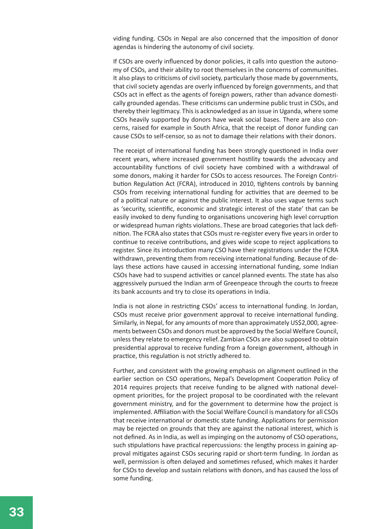viding funding. CSOs in Nepal are also concerned that the imposition of donor agendas is hindering the autonomy of civil society.

If CSOs are overly influenced by donor policies, it calls into question the autonomy of CSOs, and their ability to root themselves in the concerns of communities. It also plays to criticisms of civil society, particularly those made by governments, that civil society agendas are overly influenced by foreign governments, and that CSOs act in effect as the agents of foreign powers, rather than advance domestically grounded agendas. These criticisms can undermine public trust in CSOs, and thereby their legitimacy. This is acknowledged as an issue in Uganda, where some CSOs heavily supported by donors have weak social bases. There are also concerns, raised for example in South Africa, that the receipt of donor funding can cause CSOs to self-censor, so as not to damage their relations with their donors.

The receipt of international funding has been strongly questioned in India over recent years, where increased government hostility towards the advocacy and accountability functions of civil society have combined with a withdrawal of some donors, making it harder for CSOs to access resources. The Foreign Contribution Regulation Act (FCRA), introduced in 2010, tightens controls by banning CSOs from receiving international funding for activities that are deemed to be of a political nature or against the public interest. It also uses vague terms such as 'security, scientific, economic and strategic interest of the state' that can be easily invoked to deny funding to organisations uncovering high level corruption or widespread human rights violations. These are broad categories that lack definition. The FCRA also states that CSOs must re-register every five years in order to continue to receive contributions, and gives wide scope to reject applications to register. Since its introduction many CSO have their registrations under the FCRA withdrawn, preventing them from receiving international funding. Because of delays these actions have caused in accessing international funding, some Indian CSOs have had to suspend activities or cancel planned events. The state has also aggressively pursued the Indian arm of Greenpeace through the courts to freeze its bank accounts and try to close its operations in India.

India is not alone in restricting CSOs' access to international funding. In Jordan, CSOs must receive prior government approval to receive international funding. Similarly, in Nepal, for any amounts of more than approximately US\$2,000, agreements between CSOs and donors must be approved by the Social Welfare Council, unless they relate to emergency relief. Zambian CSOs are also supposed to obtain presidential approval to receive funding from a foreign government, although in practice, this regulation is not strictly adhered to.

Further, and consistent with the growing emphasis on alignment outlined in the earlier section on CSO operations, Nepal's Development Cooperation Policy of 2014 requires projects that receive funding to be aligned with national development priorities, for the project proposal to be coordinated with the relevant government ministry, and for the government to determine how the project is implemented. Affiliation with the Social Welfare Council is mandatory for all CSOs that receive international or domestic state funding. Applications for permission may be rejected on grounds that they are against the national interest, which is not defined. As in India, as well as impinging on the autonomy of CSO operations, such stipulations have practical repercussions: the lengthy process in gaining approval mitigates against CSOs securing rapid or short-term funding. In Jordan as well, permission is often delayed and sometimes refused, which makes it harder for CSOs to develop and sustain relations with donors, and has caused the loss of some funding.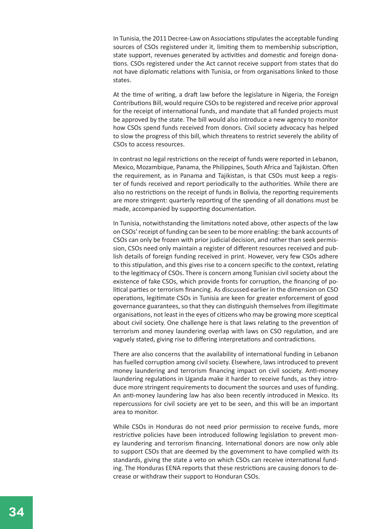In Tunisia, the 2011 Decree-Law on Associations stipulates the acceptable funding sources of CSOs registered under it, limiting them to membership subscription, state support, revenues generated by activities and domestic and foreign donations. CSOs registered under the Act cannot receive support from states that do not have diplomatic relations with Tunisia, or from organisations linked to those states.

At the time of writing, a draft law before the legislature in Nigeria, the Foreign Contributions Bill, would require CSOs to be registered and receive prior approval for the receipt of international funds, and mandate that all funded projects must be approved by the state. The bill would also introduce a new agency to monitor how CSOs spend funds received from donors. Civil society advocacy has helped to slow the progress of this bill, which threatens to restrict severely the ability of CSOs to access resources.

In contrast no legal restrictions on the receipt of funds were reported in Lebanon, Mexico, Mozambique, Panama, the Philippines, South Africa and Tajikistan. Often the requirement, as in Panama and Tajikistan, is that CSOs must keep a register of funds received and report periodically to the authorities. While there are also no restrictions on the receipt of funds in Bolivia, the reporting requirements are more stringent: quarterly reporting of the spending of all donations must be made, accompanied by supporting documentation.

In Tunisia, notwithstanding the limitations noted above, other aspects of the law on CSOs' receipt of funding can be seen to be more enabling: the bank accounts of CSOs can only be frozen with prior judicial decision, and rather than seek permission, CSOs need only maintain a register of different resources received and publish details of foreign funding received in print. However, very few CSOs adhere to this stipulation, and this gives rise to a concern specific to the context, relating to the legitimacy of CSOs. There is concern among Tunisian civil society about the existence of fake CSOs, which provide fronts for corruption, the financing of political parties or terrorism financing. As discussed earlier in the dimension on CSO operations, legitimate CSOs in Tunisia are keen for greater enforcement of good governance guarantees, so that they can distinguish themselves from illegitimate organisations, not least in the eyes of citizens who may be growing more sceptical about civil society. One challenge here is that laws relating to the prevention of terrorism and money laundering overlap with laws on CSO regulation, and are vaguely stated, giving rise to differing interpretations and contradictions.

There are also concerns that the availability of international funding in Lebanon has fuelled corruption among civil society. Elsewhere, laws introduced to prevent money laundering and terrorism financing impact on civil society. Anti-money laundering regulations in Uganda make it harder to receive funds, as they introduce more stringent requirements to document the sources and uses of funding. An anti-money laundering law has also been recently introduced in Mexico. Its repercussions for civil society are yet to be seen, and this will be an important area to monitor.

While CSOs in Honduras do not need prior permission to receive funds, more restrictive policies have been introduced following legislation to prevent money laundering and terrorism financing. International donors are now only able to support CSOs that are deemed by the government to have complied with its standards, giving the state a veto on which CSOs can receive international funding. The Honduras EENA reports that these restrictions are causing donors to decrease or withdraw their support to Honduran CSOs.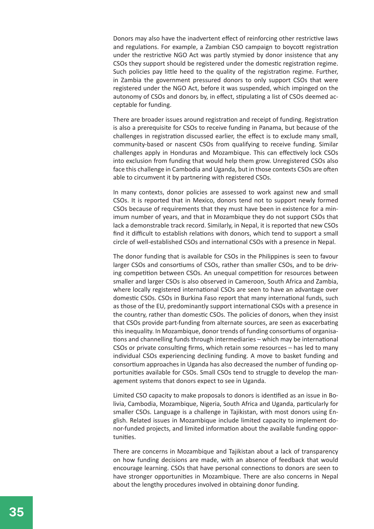Donors may also have the inadvertent effect of reinforcing other restrictive laws and regulations. For example, a Zambian CSO campaign to boycott registration under the restrictive NGO Act was partly stymied by donor insistence that any CSOs they support should be registered under the domestic registration regime. Such policies pay little heed to the quality of the registration regime. Further, in Zambia the government pressured donors to only support CSOs that were registered under the NGO Act, before it was suspended, which impinged on the autonomy of CSOs and donors by, in effect, stipulating a list of CSOs deemed acceptable for funding.

There are broader issues around registration and receipt of funding. Registration is also a prerequisite for CSOs to receive funding in Panama, but because of the challenges in registration discussed earlier, the effect is to exclude many small, community-based or nascent CSOs from qualifying to receive funding. Similar challenges apply in Honduras and Mozambique. This can effectively lock CSOs into exclusion from funding that would help them grow. Unregistered CSOs also face this challenge in Cambodia and Uganda, but in those contexts CSOs are often able to circumvent it by partnering with registered CSOs.

In many contexts, donor policies are assessed to work against new and small CSOs. It is reported that in Mexico, donors tend not to support newly formed CSOs because of requirements that they must have been in existence for a minimum number of years, and that in Mozambique they do not support CSOs that lack a demonstrable track record. Similarly, in Nepal, it is reported that new CSOs find it difficult to establish relations with donors, which tend to support a small circle of well-established CSOs and international CSOs with a presence in Nepal.

The donor funding that is available for CSOs in the Philippines is seen to favour larger CSOs and consortiums of CSOs, rather than smaller CSOs, and to be driving competition between CSOs. An unequal competition for resources between smaller and larger CSOs is also observed in Cameroon, South Africa and Zambia, where locally registered international CSOs are seen to have an advantage over domestic CSOs. CSOs in Burkina Faso report that many international funds, such as those of the EU, predominantly support international CSOs with a presence in the country, rather than domestic CSOs. The policies of donors, when they insist that CSOs provide part-funding from alternate sources, are seen as exacerbating this inequality. In Mozambique, donor trends of funding consortiums of organisations and channelling funds through intermediaries – which may be international CSOs or private consulting firms, which retain some resources – has led to many individual CSOs experiencing declining funding. A move to basket funding and consortium approaches in Uganda has also decreased the number of funding opportunities available for CSOs. Small CSOs tend to struggle to develop the management systems that donors expect to see in Uganda.

Limited CSO capacity to make proposals to donors is identified as an issue in Bolivia, Cambodia, Mozambique, Nigeria, South Africa and Uganda, particularly for smaller CSOs. Language is a challenge in Tajikistan, with most donors using English. Related issues in Mozambique include limited capacity to implement donor-funded projects, and limited information about the available funding opportunities.

There are concerns in Mozambique and Tajikistan about a lack of transparency on how funding decisions are made, with an absence of feedback that would encourage learning. CSOs that have personal connections to donors are seen to have stronger opportunities in Mozambique. There are also concerns in Nepal about the lengthy procedures involved in obtaining donor funding.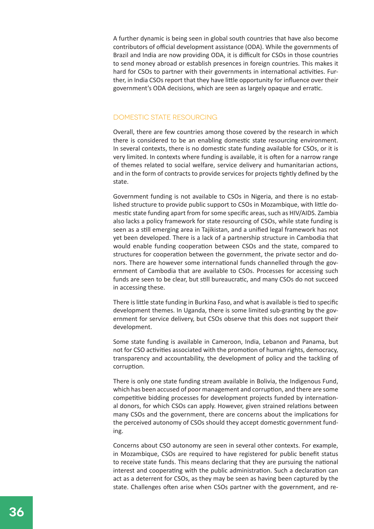A further dynamic is being seen in global south countries that have also become contributors of official development assistance (ODA). While the governments of Brazil and India are now providing ODA, it is difficult for CSOs in those countries to send money abroad or establish presences in foreign countries. This makes it hard for CSOs to partner with their governments in international activities. Further, in India CSOs report that they have little opportunity for influence over their government's ODA decisions, which are seen as largely opaque and erratic.

#### DOMESTIC STATE RESOURCING

Overall, there are few countries among those covered by the research in which there is considered to be an enabling domestic state resourcing environment. In several contexts, there is no domestic state funding available for CSOs, or it is very limited. In contexts where funding is available, it is often for a narrow range of themes related to social welfare, service delivery and humanitarian actions, and in the form of contracts to provide services for projects tightly defined by the state.

Government funding is not available to CSOs in Nigeria, and there is no established structure to provide public support to CSOs in Mozambique, with little domestic state funding apart from for some specific areas, such as HIV/AIDS. Zambia also lacks a policy framework for state resourcing of CSOs, while state funding is seen as a still emerging area in Tajikistan, and a unified legal framework has not yet been developed. There is a lack of a partnership structure in Cambodia that would enable funding cooperation between CSOs and the state, compared to structures for cooperation between the government, the private sector and donors. There are however some international funds channelled through the government of Cambodia that are available to CSOs. Processes for accessing such funds are seen to be clear, but still bureaucratic, and many CSOs do not succeed in accessing these.

There is little state funding in Burkina Faso, and what is available is tied to specific development themes. In Uganda, there is some limited sub-granting by the government for service delivery, but CSOs observe that this does not support their development.

Some state funding is available in Cameroon, India, Lebanon and Panama, but not for CSO activities associated with the promotion of human rights, democracy, transparency and accountability, the development of policy and the tackling of corruption.

There is only one state funding stream available in Bolivia, the Indigenous Fund, which has been accused of poor management and corruption, and there are some competitive bidding processes for development projects funded by international donors, for which CSOs can apply. However, given strained relations between many CSOs and the government, there are concerns about the implications for the perceived autonomy of CSOs should they accept domestic government funding.

Concerns about CSO autonomy are seen in several other contexts. For example, in Mozambique, CSOs are required to have registered for public benefit status to receive state funds. This means declaring that they are pursuing the national interest and cooperating with the public administration. Such a declaration can act as a deterrent for CSOs, as they may be seen as having been captured by the state. Challenges often arise when CSOs partner with the government, and re-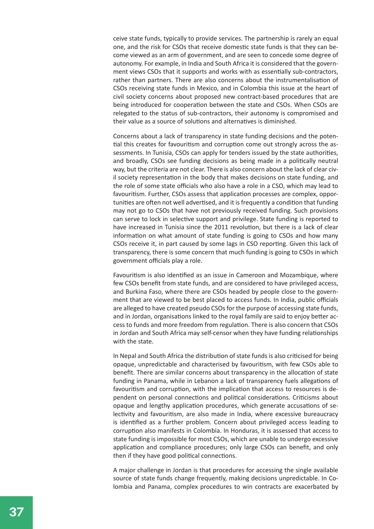ceive state funds, typically to provide services. The partnership is rarely an equal one, and the risk for CSOs that receive domestic state funds is that they can become viewed as an arm of government, and are seen to concede some degree of autonomy. For example, in India and South Africa it is considered that the government views CSOs that it supports and works with as essentially sub-contractors, rather than partners. There are also concerns about the instrumentalisation of CSOs receiving state funds in Mexico, and in Colombia this issue at the heart of civil society concerns about proposed new contract-based procedures that are being introduced for cooperation between the state and CSOs. When CSOs are relegated to the status of sub-contractors, their autonomy is compromised and their value as a source of solutions and alternatives is diminished.

Concerns about a lack of transparency in state funding decisions and the potential this creates for favouritism and corruption come out strongly across the assessments. In Tunisia, CSOs can apply for tenders issued by the state authorities, and broadly, CSOs see funding decisions as being made in a politically neutral way, but the criteria are not clear. There is also concern about the lack of clear civil society representation in the body that makes decisions on state funding, and the role of some state officials who also have a role in a CSO, which may lead to favouritism. Further, CSOs assess that application processes are complex, opportunities are often not well advertised, and it is frequently a condition that funding may not go to CSOs that have not previously received funding. Such provisions can serve to lock in selective support and privilege. State funding is reported to have increased in Tunisia since the 2011 revolution, but there is a lack of clear information on what amount of state funding is going to CSOs and how many CSOs receive it, in part caused by some lags in CSO reporting. Given this lack of transparency, there is some concern that much funding is going to CSOs in which government officials play a role.

Favouritism is also identified as an issue in Cameroon and Mozambique, where few CSOs benefit from state funds, and are considered to have privileged access, and Burkina Faso, where there are CSOs headed by people close to the government that are viewed to be best placed to access funds. In India, public officials are alleged to have created pseudo CSOs for the purpose of accessing state funds, and in Jordan, organisations linked to the royal family are said to enjoy better access to funds and more freedom from regulation. There is also concern that CSOs in Jordan and South Africa may self-censor when they have funding relationships with the state.

In Nepal and South Africa the distribution of state funds is also criticised for being opaque, unpredictable and characterised by favouritism, with few CSOs able to benefit. There are similar concerns about transparency in the allocation of state funding in Panama, while in Lebanon a lack of transparency fuels allegations of favouritism and corruption, with the implication that access to resources is dependent on personal connections and political considerations. Criticisms about opaque and lengthy application procedures, which generate accusations of selectivity and favouritism, are also made in India, where excessive bureaucracy is identified as a further problem. Concern about privileged access leading to corruption also manifests in Colombia. In Honduras, it is assessed that access to state funding is impossible for most CSOs, which are unable to undergo excessive application and compliance procedures; only large CSOs can benefit, and only then if they have good political connections.

A major challenge in Jordan is that procedures for accessing the single available source of state funds change frequently, making decisions unpredictable. In Colombia and Panama, complex procedures to win contracts are exacerbated by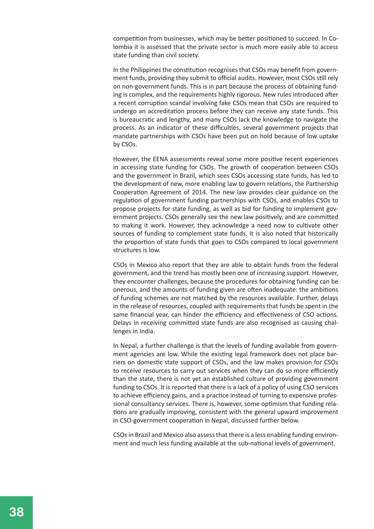competition from businesses, which may be better positioned to succeed. In Colombia it is assessed that the private sector is much more easily able to access state funding than civil society.

In the Philippines the constitution recognises that CSOs may benefit from government funds, providing they submit to official audits. However, most CSOs still rely on non-government funds. This is in part because the process of obtaining funding is complex, and the requirements highly rigorous. New rules introduced after a recent corruption scandal involving fake CSOs mean that CSOs are required to undergo an accreditation process before they can receive any state funds. This is bureaucratic and lengthy, and many CSOs lack the knowledge to navigate the process. As an indicator of these difficulties, several government projects that mandate partnerships with CSOs have been put on hold because of low uptake by CSOs.

However, the EENA assessments reveal some more positive recent experiences in accessing state funding for CSOs. The growth of cooperation between CSOs and the government in Brazil, which sees CSOs accessing state funds, has led to the development of new, more enabling law to govern relations, the Partnership Cooperation Agreement of 2014. The new law provides clear guidance on the regulation of government funding partnerships with CSOs, and enables CSOs to propose projects for state funding, as well as bid for funding to implement government projects. CSOs generally see the new law positively, and are committed to making it work. However, they acknowledge a need now to cultivate other sources of funding to complement state funds. It is also noted that historically the proportion of state funds that goes to CSOs compared to local government structures is low.

CSOs in Mexico also report that they are able to obtain funds from the federal government, and the trend has mostly been one of increasing support. However, they encounter challenges, because the procedures for obtaining funding can be onerous, and the amounts of funding given are often inadequate: the ambitions of funding schemes are not matched by the resources available. Further, delays in the release of resources, coupled with requirements that funds be spent in the same financial year, can hinder the efficiency and effectiveness of CSO actions. Delays in receiving committed state funds are also recognised as causing challenges in India.

In Nepal, a further challenge is that the levels of funding available from government agencies are low. While the existing legal framework does not place barriers on domestic state support of CSOs, and the law makes provision for CSOs to receive resources to carry out services when they can do so more efficiently than the state, there is not yet an established culture of providing government funding to CSOs. It is reported that there is a lack of a policy of using CSO services to achieve efficiency gains, and a practice instead of turning to expensive professional consultancy services. There is, however, some optimism that funding relations are gradually improving, consistent with the general upward improvement in CSO-government cooperation in Nepal, discussed further below.

CSOs in Brazil and Mexico also assess that there is a less enabling funding environment and much less funding available at the sub-national levels of government.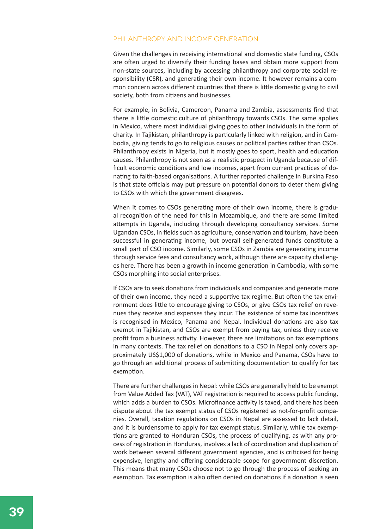#### PHII ANTHROPY AND INCOME GENERATION

Given the challenges in receiving international and domestic state funding, CSOs are often urged to diversify their funding bases and obtain more support from non-state sources, including by accessing philanthropy and corporate social responsibility (CSR), and generating their own income. It however remains a common concern across different countries that there is little domestic giving to civil society, both from citizens and businesses.

For example, in Bolivia, Cameroon, Panama and Zambia, assessments find that there is little domestic culture of philanthropy towards CSOs. The same applies in Mexico, where most individual giving goes to other individuals in the form of charity. In Tajikistan, philanthropy is particularly linked with religion, and in Cambodia, giving tends to go to religious causes or political parties rather than CSOs. Philanthropy exists in Nigeria, but it mostly goes to sport, health and education causes. Philanthropy is not seen as a realistic prospect in Uganda because of difficult economic conditions and low incomes, apart from current practices of donating to faith-based organisations. A further reported challenge in Burkina Faso is that state officials may put pressure on potential donors to deter them giving to CSOs with which the government disagrees.

When it comes to CSOs generating more of their own income, there is gradual recognition of the need for this in Mozambique, and there are some limited attempts in Uganda, including through developing consultancy services. Some Ugandan CSOs, in fields such as agriculture, conservation and tourism, have been successful in generating income, but overall self-generated funds constitute a small part of CSO income. Similarly, some CSOs in Zambia are generating income through service fees and consultancy work, although there are capacity challenges here. There has been a growth in income generation in Cambodia, with some CSOs morphing into social enterprises.

If CSOs are to seek donations from individuals and companies and generate more of their own income, they need a supportive tax regime. But often the tax environment does little to encourage giving to CSOs, or give CSOs tax relief on revenues they receive and expenses they incur. The existence of some tax incentives is recognised in Mexico, Panama and Nepal. Individual donations are also tax exempt in Tajikistan, and CSOs are exempt from paying tax, unless they receive profit from a business activity. However, there are limitations on tax exemptions in many contexts. The tax relief on donations to a CSO in Nepal only covers approximately US\$1,000 of donations, while in Mexico and Panama, CSOs have to go through an additional process of submitting documentation to qualify for tax exemption.

There are further challenges in Nepal: while CSOs are generally held to be exempt from Value Added Tax (VAT), VAT registration is required to access public funding, which adds a burden to CSOs. Microfinance activity is taxed, and there has been dispute about the tax exempt status of CSOs registered as not-for-profit companies. Overall, taxation regulations on CSOs in Nepal are assessed to lack detail, and it is burdensome to apply for tax exempt status. Similarly, while tax exemptions are granted to Honduran CSOs, the process of qualifying, as with any process of registration in Honduras, involves a lack of coordination and duplication of work between several different government agencies, and is criticised for being expensive, lengthy and offering considerable scope for government discretion. This means that many CSOs choose not to go through the process of seeking an exemption. Tax exemption is also often denied on donations if a donation is seen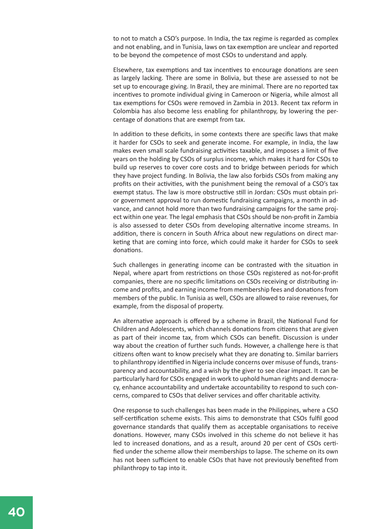to not to match a CSO's purpose. In India, the tax regime is regarded as complex and not enabling, and in Tunisia, laws on tax exemption are unclear and reported to be beyond the competence of most CSOs to understand and apply.

Elsewhere, tax exemptions and tax incentives to encourage donations are seen as largely lacking. There are some in Bolivia, but these are assessed to not be set up to encourage giving. In Brazil, they are minimal. There are no reported tax incentives to promote individual giving in Cameroon or Nigeria, while almost all tax exemptions for CSOs were removed in Zambia in 2013. Recent tax reform in Colombia has also become less enabling for philanthropy, by lowering the percentage of donations that are exempt from tax.

In addition to these deficits, in some contexts there are specific laws that make it harder for CSOs to seek and generate income. For example, in India, the law makes even small scale fundraising activities taxable, and imposes a limit of five years on the holding by CSOs of surplus income, which makes it hard for CSOs to build up reserves to cover core costs and to bridge between periods for which they have project funding. In Bolivia, the law also forbids CSOs from making any profits on their activities, with the punishment being the removal of a CSO's tax exempt status. The law is more obstructive still in Jordan: CSOs must obtain prior government approval to run domestic fundraising campaigns, a month in advance, and cannot hold more than two fundraising campaigns for the same project within one year. The legal emphasis that CSOs should be non-profit in Zambia is also assessed to deter CSOs from developing alternative income streams. In addition, there is concern in South Africa about new regulations on direct marketing that are coming into force, which could make it harder for CSOs to seek donations.

Such challenges in generating income can be contrasted with the situation in Nepal, where apart from restrictions on those CSOs registered as not-for-profit companies, there are no specific limitations on CSOs receiving or distributing income and profits, and earning income from membership fees and donations from members of the public. In Tunisia as well, CSOs are allowed to raise revenues, for example, from the disposal of property.

An alternative approach is offered by a scheme in Brazil, the National Fund for Children and Adolescents, which channels donations from citizens that are given as part of their income tax, from which CSOs can benefit. Discussion is under way about the creation of further such funds. However, a challenge here is that citizens often want to know precisely what they are donating to. Similar barriers to philanthropy identified in Nigeria include concerns over misuse of funds, transparency and accountability, and a wish by the giver to see clear impact. It can be particularly hard for CSOs engaged in work to uphold human rights and democracy, enhance accountability and undertake accountability to respond to such concerns, compared to CSOs that deliver services and offer charitable activity.

One response to such challenges has been made in the Philippines, where a CSO self-certification scheme exists. This aims to demonstrate that CSOs fulfil good governance standards that qualify them as acceptable organisations to receive donations. However, many CSOs involved in this scheme do not believe it has led to increased donations, and as a result, around 20 per cent of CSOs certified under the scheme allow their memberships to lapse. The scheme on its own has not been sufficient to enable CSOs that have not previously benefited from philanthropy to tap into it.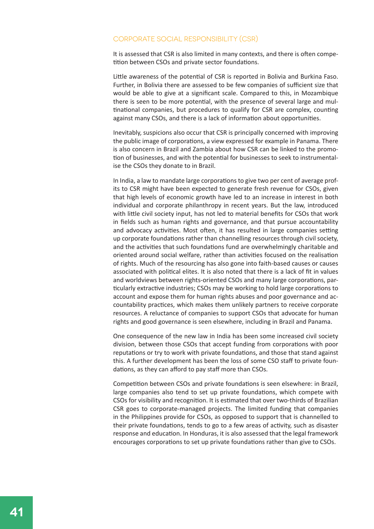#### Corporate social responsibility (CSR)

It is assessed that CSR is also limited in many contexts, and there is often competition between CSOs and private sector foundations.

Little awareness of the potential of CSR is reported in Bolivia and Burkina Faso. Further, in Bolivia there are assessed to be few companies of sufficient size that would be able to give at a significant scale. Compared to this, in Mozambique there is seen to be more potential, with the presence of several large and multinational companies, but procedures to qualify for CSR are complex, counting against many CSOs, and there is a lack of information about opportunities.

Inevitably, suspicions also occur that CSR is principally concerned with improving the public image of corporations, a view expressed for example in Panama. There is also concern in Brazil and Zambia about how CSR can be linked to the promotion of businesses, and with the potential for businesses to seek to instrumentalise the CSOs they donate to in Brazil.

In India, a law to mandate large corporations to give two per cent of average profits to CSR might have been expected to generate fresh revenue for CSOs, given that high levels of economic growth have led to an increase in interest in both individual and corporate philanthropy in recent years. But the law, introduced with little civil society input, has not led to material benefits for CSOs that work in fields such as human rights and governance, and that pursue accountability and advocacy activities. Most often, it has resulted in large companies setting up corporate foundations rather than channelling resources through civil society, and the activities that such foundations fund are overwhelmingly charitable and oriented around social welfare, rather than activities focused on the realisation of rights. Much of the resourcing has also gone into faith-based causes or causes associated with political elites. It is also noted that there is a lack of fit in values and worldviews between rights-oriented CSOs and many large corporations, particularly extractive industries; CSOs may be working to hold large corporations to account and expose them for human rights abuses and poor governance and accountability practices, which makes them unlikely partners to receive corporate resources. A reluctance of companies to support CSOs that advocate for human rights and good governance is seen elsewhere, including in Brazil and Panama.

One consequence of the new law in India has been some increased civil society division, between those CSOs that accept funding from corporations with poor reputations or try to work with private foundations, and those that stand against this. A further development has been the loss of some CSO staff to private foundations, as they can afford to pay staff more than CSOs.

Competition between CSOs and private foundations is seen elsewhere: in Brazil, large companies also tend to set up private foundations, which compete with CSOs for visibility and recognition. It is estimated that over two-thirds of Brazilian CSR goes to corporate-managed projects. The limited funding that companies in the Philippines provide for CSOs, as opposed to support that is channelled to their private foundations, tends to go to a few areas of activity, such as disaster response and education. In Honduras, it is also assessed that the legal framework encourages corporations to set up private foundations rather than give to CSOs.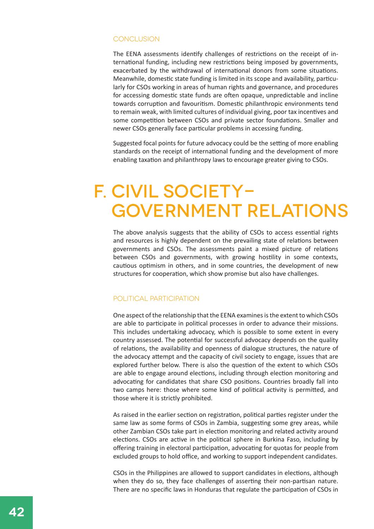#### CONCLUSION

The EENA assessments identify challenges of restrictions on the receipt of international funding, including new restrictions being imposed by governments, exacerbated by the withdrawal of international donors from some situations. Meanwhile, domestic state funding is limited in its scope and availability, particularly for CSOs working in areas of human rights and governance, and procedures for accessing domestic state funds are often opaque, unpredictable and incline towards corruption and favouritism. Domestic philanthropic environments tend to remain weak, with limited cultures of individual giving, poor tax incentives and some competition between CSOs and private sector foundations. Smaller and newer CSOs generally face particular problems in accessing funding.

Suggested focal points for future advocacy could be the setting of more enabling standards on the receipt of international funding and the development of more enabling taxation and philanthropy laws to encourage greater giving to CSOs.

### f. Civil society government relations

The above analysis suggests that the ability of CSOs to access essential rights and resources is highly dependent on the prevailing state of relations between governments and CSOs. The assessments paint a mixed picture of relations between CSOs and governments, with growing hostility in some contexts, cautious optimism in others, and in some countries, the development of new structures for cooperation, which show promise but also have challenges.

#### Political participation

One aspect of the relationship that the EENA examines is the extent to which CSOs are able to participate in political processes in order to advance their missions. This includes undertaking advocacy, which is possible to some extent in every country assessed. The potential for successful advocacy depends on the quality of relations, the availability and openness of dialogue structures, the nature of the advocacy attempt and the capacity of civil society to engage, issues that are explored further below. There is also the question of the extent to which CSOs are able to engage around elections, including through election monitoring and advocating for candidates that share CSO positions. Countries broadly fall into two camps here: those where some kind of political activity is permitted, and those where it is strictly prohibited.

As raised in the earlier section on registration, political parties register under the same law as some forms of CSOs in Zambia, suggesting some grey areas, while other Zambian CSOs take part in election monitoring and related activity around elections. CSOs are active in the political sphere in Burkina Faso, including by offering training in electoral participation, advocating for quotas for people from excluded groups to hold office, and working to support independent candidates.

CSOs in the Philippines are allowed to support candidates in elections, although when they do so, they face challenges of asserting their non-partisan nature. There are no specific laws in Honduras that regulate the participation of CSOs in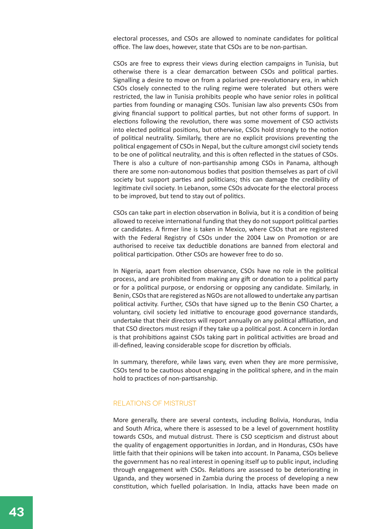electoral processes, and CSOs are allowed to nominate candidates for political office. The law does, however, state that CSOs are to be non-partisan.

CSOs are free to express their views during election campaigns in Tunisia, but otherwise there is a clear demarcation between CSOs and political parties. Signalling a desire to move on from a polarised pre-revolutionary era, in which CSOs closely connected to the ruling regime were tolerated but others were restricted, the law in Tunisia prohibits people who have senior roles in political parties from founding or managing CSOs. Tunisian law also prevents CSOs from giving financial support to political parties, but not other forms of support. In elections following the revolution, there was some movement of CSO activists into elected political positions, but otherwise, CSOs hold strongly to the notion of political neutrality. Similarly, there are no explicit provisions preventing the political engagement of CSOs in Nepal, but the culture amongst civil society tends to be one of political neutrality, and this is often reflected in the statues of CSOs. There is also a culture of non-partisanship among CSOs in Panama, although there are some non-autonomous bodies that position themselves as part of civil society but support parties and politicians; this can damage the credibility of legitimate civil society. In Lebanon, some CSOs advocate for the electoral process to be improved, but tend to stay out of politics.

CSOs can take part in election observation in Bolivia, but it is a condition of being allowed to receive international funding that they do not support political parties or candidates. A firmer line is taken in Mexico, where CSOs that are registered with the Federal Registry of CSOs under the 2004 Law on Promotion or are authorised to receive tax deductible donations are banned from electoral and political participation. Other CSOs are however free to do so.

In Nigeria, apart from election observance, CSOs have no role in the political process, and are prohibited from making any gift or donation to a political party or for a political purpose, or endorsing or opposing any candidate. Similarly, in Benin, CSOs that are registered as NGOs are not allowed to undertake any partisan political activity. Further, CSOs that have signed up to the Benin CSO Charter, a voluntary, civil society led initiative to encourage good governance standards, undertake that their directors will report annually on any political affiliation, and that CSO directors must resign if they take up a political post. A concern in Jordan is that prohibitions against CSOs taking part in political activities are broad and ill-defined, leaving considerable scope for discretion by officials.

In summary, therefore, while laws vary, even when they are more permissive, CSOs tend to be cautious about engaging in the political sphere, and in the main hold to practices of non-partisanship.

#### Relations of mistrust

More generally, there are several contexts, including Bolivia, Honduras, India and South Africa, where there is assessed to be a level of government hostility towards CSOs, and mutual distrust. There is CSO scepticism and distrust about the quality of engagement opportunities in Jordan, and in Honduras, CSOs have little faith that their opinions will be taken into account. In Panama, CSOs believe the government has no real interest in opening itself up to public input, including through engagement with CSOs. Relations are assessed to be deteriorating in Uganda, and they worsened in Zambia during the process of developing a new constitution, which fuelled polarisation. In India, attacks have been made on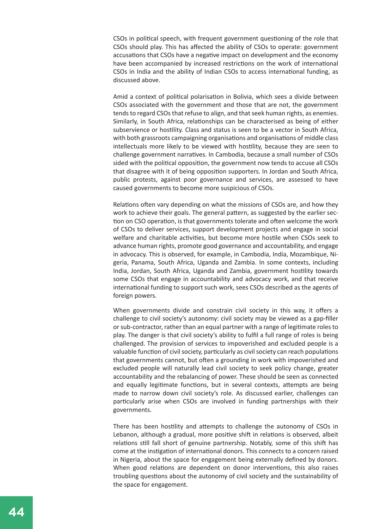CSOs in political speech, with frequent government questioning of the role that CSOs should play. This has affected the ability of CSOs to operate: government accusations that CSOs have a negative impact on development and the economy have been accompanied by increased restrictions on the work of international CSOs in India and the ability of Indian CSOs to access international funding, as discussed above.

Amid a context of political polarisation in Bolivia, which sees a divide between CSOs associated with the government and those that are not, the government tends to regard CSOs that refuse to align, and that seek human rights, as enemies. Similarly, in South Africa, relationships can be characterised as being of either subservience or hostility. Class and status is seen to be a vector in South Africa, with both grassroots campaigning organisations and organisations of middle class intellectuals more likely to be viewed with hostility, because they are seen to challenge government narratives. In Cambodia, because a small number of CSOs sided with the political opposition, the government now tends to accuse all CSOs that disagree with it of being opposition supporters. In Jordan and South Africa, public protests, against poor governance and services, are assessed to have caused governments to become more suspicious of CSOs.

Relations often vary depending on what the missions of CSOs are, and how they work to achieve their goals. The general pattern, as suggested by the earlier section on CSO operation, is that governments tolerate and often welcome the work of CSOs to deliver services, support development projects and engage in social welfare and charitable activities, but become more hostile when CSOs seek to advance human rights, promote good governance and accountability, and engage in advocacy. This is observed, for example, in Cambodia, India, Mozambique, Nigeria, Panama, South Africa, Uganda and Zambia. In some contexts, including India, Jordan, South Africa, Uganda and Zambia, government hostility towards some CSOs that engage in accountability and advocacy work, and that receive international funding to support such work, sees CSOs described as the agents of foreign powers.

When governments divide and constrain civil society in this way, it offers a challenge to civil society's autonomy: civil society may be viewed as a gap-filler or sub-contractor, rather than an equal partner with a range of legitimate roles to play. The danger is that civil society's ability to fulfil a full range of roles is being challenged. The provision of services to impoverished and excluded people is a valuable function of civil society, particularly as civil society can reach populations that governments cannot, but often a grounding in work with impoverished and excluded people will naturally lead civil society to seek policy change, greater accountability and the rebalancing of power. These should be seen as connected and equally legitimate functions, but in several contexts, attempts are being made to narrow down civil society's role. As discussed earlier, challenges can particularly arise when CSOs are involved in funding partnerships with their governments.

There has been hostility and attempts to challenge the autonomy of CSOs in Lebanon, although a gradual, more positive shift in relations is observed, albeit relations still fall short of genuine partnership. Notably, some of this shift has come at the instigation of international donors. This connects to a concern raised in Nigeria, about the space for engagement being externally defined by donors. When good relations are dependent on donor interventions, this also raises troubling questions about the autonomy of civil society and the sustainability of the space for engagement.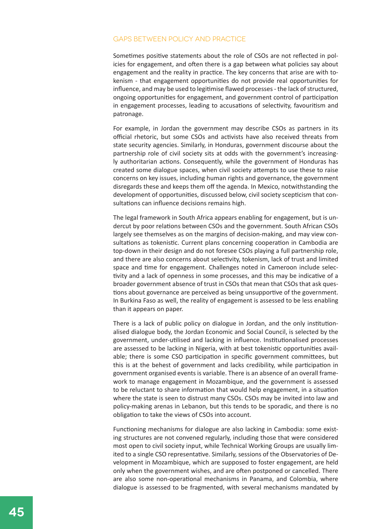#### Gaps between policy and practice

Sometimes positive statements about the role of CSOs are not reflected in policies for engagement, and often there is a gap between what policies say about engagement and the reality in practice. The key concerns that arise are with tokenism - that engagement opportunities do not provide real opportunities for influence, and may be used to legitimise flawed processes - the lack of structured, ongoing opportunities for engagement, and government control of participation in engagement processes, leading to accusations of selectivity, favouritism and patronage.

For example, in Jordan the government may describe CSOs as partners in its official rhetoric, but some CSOs and activists have also received threats from state security agencies. Similarly, in Honduras, government discourse about the partnership role of civil society sits at odds with the government's increasingly authoritarian actions. Consequently, while the government of Honduras has created some dialogue spaces, when civil society attempts to use these to raise concerns on key issues, including human rights and governance, the government disregards these and keeps them off the agenda. In Mexico, notwithstanding the development of opportunities, discussed below, civil society scepticism that consultations can influence decisions remains high.

The legal framework in South Africa appears enabling for engagement, but is undercut by poor relations between CSOs and the government. South African CSOs largely see themselves as on the margins of decision-making, and may view consultations as tokenistic. Current plans concerning cooperation in Cambodia are top-down in their design and do not foresee CSOs playing a full partnership role, and there are also concerns about selectivity, tokenism, lack of trust and limited space and time for engagement. Challenges noted in Cameroon include selectivity and a lack of openness in some processes, and this may be indicative of a broader government absence of trust in CSOs that mean that CSOs that ask questions about governance are perceived as being unsupportive of the government. In Burkina Faso as well, the reality of engagement is assessed to be less enabling than it appears on paper.

There is a lack of public policy on dialogue in Jordan, and the only institutionalised dialogue body, the Jordan Economic and Social Council, is selected by the government, under-utilised and lacking in influence. Institutionalised processes are assessed to be lacking in Nigeria, with at best tokenistic opportunities available; there is some CSO participation in specific government committees, but this is at the behest of government and lacks credibility, while participation in government organised events is variable. There is an absence of an overall framework to manage engagement in Mozambique, and the government is assessed to be reluctant to share information that would help engagement, in a situation where the state is seen to distrust many CSOs. CSOs may be invited into law and policy-making arenas in Lebanon, but this tends to be sporadic, and there is no obligation to take the views of CSOs into account.

Functioning mechanisms for dialogue are also lacking in Cambodia: some existing structures are not convened regularly, including those that were considered most open to civil society input, while Technical Working Groups are usually limited to a single CSO representative. Similarly, sessions of the Observatories of Development in Mozambique, which are supposed to foster engagement, are held only when the government wishes, and are often postponed or cancelled. There are also some non-operational mechanisms in Panama, and Colombia, where dialogue is assessed to be fragmented, with several mechanisms mandated by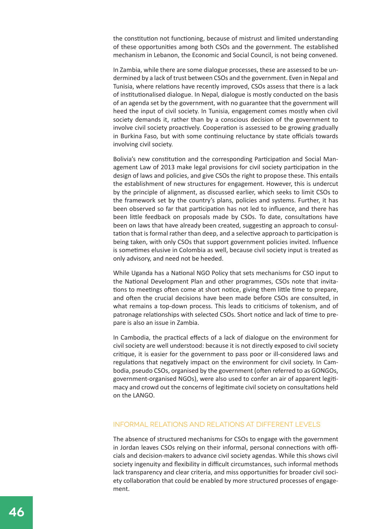the constitution not functioning, because of mistrust and limited understanding of these opportunities among both CSOs and the government. The established mechanism in Lebanon, the Economic and Social Council, is not being convened.

In Zambia, while there are some dialogue processes, these are assessed to be undermined by a lack of trust between CSOs and the government. Even in Nepal and Tunisia, where relations have recently improved, CSOs assess that there is a lack of institutionalised dialogue. In Nepal, dialogue is mostly conducted on the basis of an agenda set by the government, with no guarantee that the government will heed the input of civil society. In Tunisia, engagement comes mostly when civil society demands it, rather than by a conscious decision of the government to involve civil society proactively. Cooperation is assessed to be growing gradually in Burkina Faso, but with some continuing reluctance by state officials towards involving civil society.

Bolivia's new constitution and the corresponding Participation and Social Management Law of 2013 make legal provisions for civil society participation in the design of laws and policies, and give CSOs the right to propose these. This entails the establishment of new structures for engagement. However, this is undercut by the principle of alignment, as discussed earlier, which seeks to limit CSOs to the framework set by the country's plans, policies and systems. Further, it has been observed so far that participation has not led to influence, and there has been little feedback on proposals made by CSOs. To date, consultations have been on laws that have already been created, suggesting an approach to consultation that is formal rather than deep, and a selective approach to participation is being taken, with only CSOs that support government policies invited. Influence is sometimes elusive in Colombia as well, because civil society input is treated as only advisory, and need not be heeded.

While Uganda has a National NGO Policy that sets mechanisms for CSO input to the National Development Plan and other programmes, CSOs note that invitations to meetings often come at short notice, giving them little time to prepare, and often the crucial decisions have been made before CSOs are consulted, in what remains a top-down process. This leads to criticisms of tokenism, and of patronage relationships with selected CSOs. Short notice and lack of time to prepare is also an issue in Zambia.

In Cambodia, the practical effects of a lack of dialogue on the environment for civil society are well understood: because it is not directly exposed to civil society critique, it is easier for the government to pass poor or ill-considered laws and regulations that negatively impact on the environment for civil society. In Cambodia, pseudo CSOs, organised by the government (often referred to as GONGOs, government-organised NGOs), were also used to confer an air of apparent legitimacy and crowd out the concerns of legitimate civil society on consultations held on the LANGO.

#### Informal relations and relations at different levels

The absence of structured mechanisms for CSOs to engage with the government in Jordan leaves CSOs relying on their informal, personal connections with officials and decision-makers to advance civil society agendas. While this shows civil society ingenuity and flexibility in difficult circumstances, such informal methods lack transparency and clear criteria, and miss opportunities for broader civil society collaboration that could be enabled by more structured processes of engagement.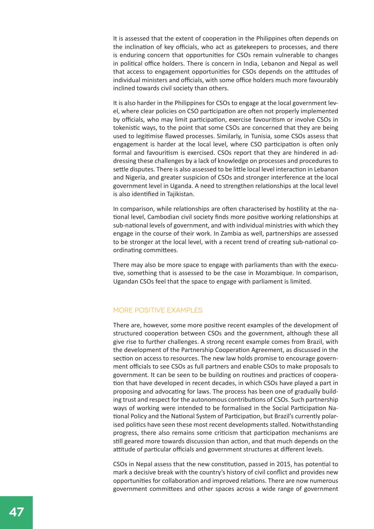It is assessed that the extent of cooperation in the Philippines often depends on the inclination of key officials, who act as gatekeepers to processes, and there is enduring concern that opportunities for CSOs remain vulnerable to changes in political office holders. There is concern in India, Lebanon and Nepal as well that access to engagement opportunities for CSOs depends on the attitudes of individual ministers and officials, with some office holders much more favourably inclined towards civil society than others.

It is also harder in the Philippines for CSOs to engage at the local government level, where clear policies on CSO participation are often not properly implemented by officials, who may limit participation, exercise favouritism or involve CSOs in tokenistic ways, to the point that some CSOs are concerned that they are being used to legitimise flawed processes. Similarly, in Tunisia, some CSOs assess that engagement is harder at the local level, where CSO participation is often only formal and favouritism is exercised. CSOs report that they are hindered in addressing these challenges by a lack of knowledge on processes and procedures to settle disputes. There is also assessed to be little local level interaction in Lebanon and Nigeria, and greater suspicion of CSOs and stronger interference at the local government level in Uganda. A need to strengthen relationships at the local level is also identified in Tajikistan.

In comparison, while relationships are often characterised by hostility at the national level, Cambodian civil society finds more positive working relationships at sub-national levels of government, and with individual ministries with which they engage in the course of their work. In Zambia as well, partnerships are assessed to be stronger at the local level, with a recent trend of creating sub-national coordinating committees.

There may also be more space to engage with parliaments than with the executive, something that is assessed to be the case in Mozambique. In comparison, Ugandan CSOs feel that the space to engage with parliament is limited.

#### More positive examples

There are, however, some more positive recent examples of the development of structured cooperation between CSOs and the government, although these all give rise to further challenges. A strong recent example comes from Brazil, with the development of the Partnership Cooperation Agreement, as discussed in the section on access to resources. The new law holds promise to encourage government officials to see CSOs as full partners and enable CSOs to make proposals to government. It can be seen to be building on routines and practices of cooperation that have developed in recent decades, in which CSOs have played a part in proposing and advocating for laws. The process has been one of gradually building trust and respect for the autonomous contributions of CSOs. Such partnership ways of working were intended to be formalised in the Social Participation National Policy and the National System of Participation, but Brazil's currently polarised politics have seen these most recent developments stalled. Notwithstanding progress, there also remains some criticism that participation mechanisms are still geared more towards discussion than action, and that much depends on the attitude of particular officials and government structures at different levels.

CSOs in Nepal assess that the new constitution, passed in 2015, has potential to mark a decisive break with the country's history of civil conflict and provides new opportunities for collaboration and improved relations. There are now numerous government committees and other spaces across a wide range of government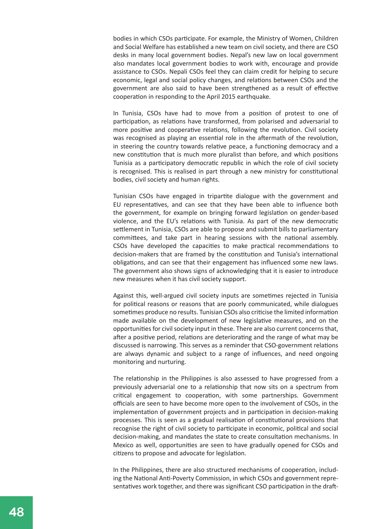bodies in which CSOs participate. For example, the Ministry of Women, Children and Social Welfare has established a new team on civil society, and there are CSO desks in many local government bodies. Nepal's new law on local government also mandates local government bodies to work with, encourage and provide assistance to CSOs. Nepali CSOs feel they can claim credit for helping to secure economic, legal and social policy changes, and relations between CSOs and the government are also said to have been strengthened as a result of effective cooperation in responding to the April 2015 earthquake.

In Tunisia, CSOs have had to move from a position of protest to one of participation, as relations have transformed, from polarised and adversarial to more positive and cooperative relations, following the revolution. Civil society was recognised as playing an essential role in the aftermath of the revolution, in steering the country towards relative peace, a functioning democracy and a new constitution that is much more pluralist than before, and which positions Tunisia as a participatory democratic republic in which the role of civil society is recognised. This is realised in part through a new ministry for constitutional bodies, civil society and human rights.

Tunisian CSOs have engaged in tripartite dialogue with the government and EU representatives, and can see that they have been able to influence both the government, for example on bringing forward legislation on gender-based violence, and the EU's relations with Tunisia. As part of the new democratic settlement in Tunisia, CSOs are able to propose and submit bills to parliamentary committees, and take part in hearing sessions with the national assembly. CSOs have developed the capacities to make practical recommendations to decision-makers that are framed by the constitution and Tunisia's international obligations, and can see that their engagement has influenced some new laws. The government also shows signs of acknowledging that it is easier to introduce new measures when it has civil society support.

Against this, well-argued civil society inputs are sometimes rejected in Tunisia for political reasons or reasons that are poorly communicated, while dialogues sometimes produce no results. Tunisian CSOs also criticise the limited information made available on the development of new legislative measures, and on the opportunities for civil society input in these. There are also current concerns that, after a positive period, relations are deteriorating and the range of what may be discussed is narrowing. This serves as a reminder that CSO-government relations are always dynamic and subject to a range of influences, and need ongoing monitoring and nurturing.

The relationship in the Philippines is also assessed to have progressed from a previously adversarial one to a relationship that now sits on a spectrum from critical engagement to cooperation, with some partnerships. Government officials are seen to have become more open to the involvement of CSOs, in the implementation of government projects and in participation in decision-making processes. This is seen as a gradual realisation of constitutional provisions that recognise the right of civil society to participate in economic, political and social decision-making, and mandates the state to create consultation mechanisms. In Mexico as well, opportunities are seen to have gradually opened for CSOs and citizens to propose and advocate for legislation.

In the Philippines, there are also structured mechanisms of cooperation, including the National Anti-Poverty Commission, in which CSOs and government representatives work together, and there was significant CSO participation in the draft-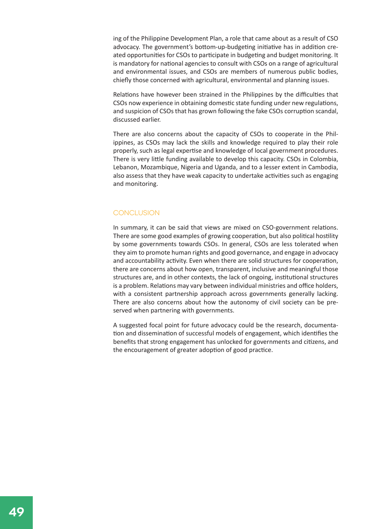ing of the Philippine Development Plan, a role that came about as a result of CSO advocacy. The government's bottom-up-budgeting initiative has in addition created opportunities for CSOs to participate in budgeting and budget monitoring. It is mandatory for national agencies to consult with CSOs on a range of agricultural and environmental issues, and CSOs are members of numerous public bodies, chiefly those concerned with agricultural, environmental and planning issues.

Relations have however been strained in the Philippines by the difficulties that CSOs now experience in obtaining domestic state funding under new regulations, and suspicion of CSOs that has grown following the fake CSOs corruption scandal, discussed earlier.

There are also concerns about the capacity of CSOs to cooperate in the Philippines, as CSOs may lack the skills and knowledge required to play their role properly, such as legal expertise and knowledge of local government procedures. There is very little funding available to develop this capacity. CSOs in Colombia, Lebanon, Mozambique, Nigeria and Uganda, and to a lesser extent in Cambodia, also assess that they have weak capacity to undertake activities such as engaging and monitoring.

#### **CONCLUSION**

In summary, it can be said that views are mixed on CSO-government relations. There are some good examples of growing cooperation, but also political hostility by some governments towards CSOs. In general, CSOs are less tolerated when they aim to promote human rights and good governance, and engage in advocacy and accountability activity. Even when there are solid structures for cooperation, there are concerns about how open, transparent, inclusive and meaningful those structures are, and in other contexts, the lack of ongoing, institutional structures is a problem. Relations may vary between individual ministries and office holders, with a consistent partnership approach across governments generally lacking. There are also concerns about how the autonomy of civil society can be preserved when partnering with governments.

A suggested focal point for future advocacy could be the research, documentation and dissemination of successful models of engagement, which identifies the benefits that strong engagement has unlocked for governments and citizens, and the encouragement of greater adoption of good practice.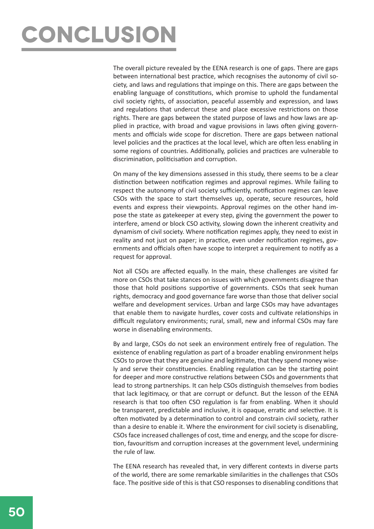# **conclusion**

The overall picture revealed by the EENA research is one of gaps. There are gaps between international best practice, which recognises the autonomy of civil society, and laws and regulations that impinge on this. There are gaps between the enabling language of constitutions, which promise to uphold the fundamental civil society rights, of association, peaceful assembly and expression, and laws and regulations that undercut these and place excessive restrictions on those rights. There are gaps between the stated purpose of laws and how laws are applied in practice, with broad and vague provisions in laws often giving governments and officials wide scope for discretion. There are gaps between national level policies and the practices at the local level, which are often less enabling in some regions of countries. Additionally, policies and practices are vulnerable to discrimination, politicisation and corruption.

On many of the key dimensions assessed in this study, there seems to be a clear distinction between notification regimes and approval regimes. While failing to respect the autonomy of civil society sufficiently, notification regimes can leave CSOs with the space to start themselves up, operate, secure resources, hold events and express their viewpoints. Approval regimes on the other hand impose the state as gatekeeper at every step, giving the government the power to interfere, amend or block CSO activity, slowing down the inherent creativity and dynamism of civil society. Where notification regimes apply, they need to exist in reality and not just on paper; in practice, even under notification regimes, governments and officials often have scope to interpret a requirement to notify as a request for approval.

Not all CSOs are affected equally. In the main, these challenges are visited far more on CSOs that take stances on issues with which governments disagree than those that hold positions supportive of governments. CSOs that seek human rights, democracy and good governance fare worse than those that deliver social welfare and development services. Urban and large CSOs may have advantages that enable them to navigate hurdles, cover costs and cultivate relationships in difficult regulatory environments; rural, small, new and informal CSOs may fare worse in disenabling environments.

By and large, CSOs do not seek an environment entirely free of regulation. The existence of enabling regulation as part of a broader enabling environment helps CSOs to prove that they are genuine and legitimate, that they spend money wisely and serve their constituencies. Enabling regulation can be the starting point for deeper and more constructive relations between CSOs and governments that lead to strong partnerships. It can help CSOs distinguish themselves from bodies that lack legitimacy, or that are corrupt or defunct. But the lesson of the EENA research is that too often CSO regulation is far from enabling. When it should be transparent, predictable and inclusive, it is opaque, erratic and selective. It is often motivated by a determination to control and constrain civil society, rather than a desire to enable it. Where the environment for civil society is disenabling, CSOs face increased challenges of cost, time and energy, and the scope for discretion, favouritism and corruption increases at the government level, undermining the rule of law.

The EENA research has revealed that, in very different contexts in diverse parts of the world, there are some remarkable similarities in the challenges that CSOs face. The positive side of this is that CSO responses to disenabling conditions that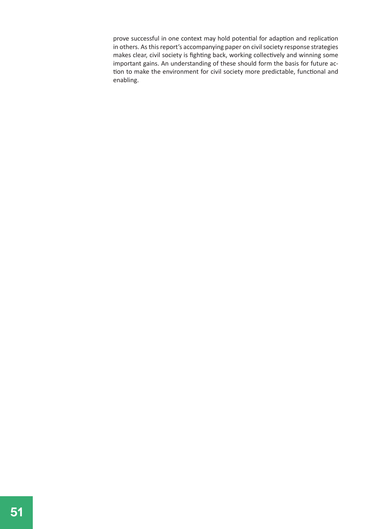prove successful in one context may hold potential for adaption and replication in others. As this report's accompanying paper on civil society response strategies makes clear, civil society is fighting back, working collectively and winning some important gains. An understanding of these should form the basis for future action to make the environment for civil society more predictable, functional and enabling.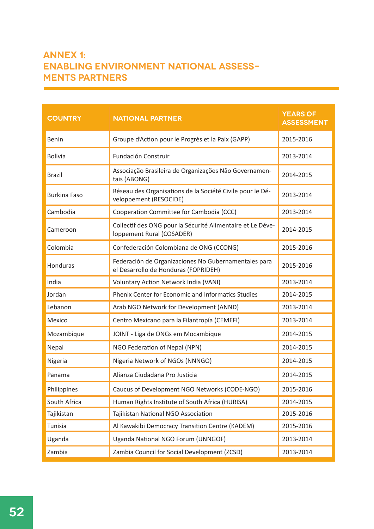#### **Annex 1: Enabling Environment National Assessments partners**

| <b>COUNTRY</b>      | <b>NATIONAL PARTNER</b>                                                                      | <b>YEARS OF</b><br><b>ASSESSMENT</b> |
|---------------------|----------------------------------------------------------------------------------------------|--------------------------------------|
| Benin               | Groupe d'Action pour le Progrès et la Paix (GAPP)                                            | 2015-2016                            |
| <b>Bolivia</b>      | Fundación Construir                                                                          | 2013-2014                            |
| <b>Brazil</b>       | Associação Brasileira de Organizações Não Governamen-<br>tais (ABONG)                        | 2014-2015                            |
| <b>Burkina Faso</b> | Réseau des Organisations de la Société Civile pour le Dé-<br>veloppement (RESOCIDE)          | 2013-2014                            |
| Cambodia            | Cooperation Committee for Cambodia (CCC)                                                     | 2013-2014                            |
| Cameroon            | Collectif des ONG pour la Sécurité Alimentaire et Le Déve-<br>loppement Rural (COSADER)      | 2014-2015                            |
| Colombia            | Confederación Colombiana de ONG (CCONG)                                                      | 2015-2016                            |
| Honduras            | Federación de Organizaciones No Gubernamentales para<br>el Desarrollo de Honduras (FOPRIDEH) | 2015-2016                            |
| India               | Voluntary Action Network India (VANI)                                                        | 2013-2014                            |
| Jordan              | Phenix Center for Economic and Informatics Studies                                           | 2014-2015                            |
| Lebanon             | Arab NGO Network for Development (ANND)                                                      | 2013-2014                            |
| Mexico              | Centro Mexicano para la Filantropía (CEMEFI)                                                 | 2013-2014                            |
| Mozambique          | JOINT - Liga de ONGs em Mocambique                                                           | 2014-2015                            |
| Nepal               | NGO Federation of Nepal (NPN)                                                                | 2014-2015                            |
| Nigeria             | Nigeria Network of NGOs (NNNGO)                                                              | 2014-2015                            |
| Panama              | Alianza Ciudadana Pro Justicia                                                               | 2014-2015                            |
| Philippines         | Caucus of Development NGO Networks (CODE-NGO)                                                | 2015-2016                            |
| South Africa        | Human Rights Institute of South Africa (HURISA)                                              | 2014-2015                            |
| Tajikistan          | Tajikistan National NGO Association                                                          | 2015-2016                            |
| Tunisia             | Al Kawakibi Democracy Transition Centre (KADEM)                                              | 2015-2016                            |
| Uganda              | Uganda National NGO Forum (UNNGOF)                                                           | 2013-2014                            |
| Zambia              | Zambia Council for Social Development (ZCSD)                                                 | 2013-2014                            |